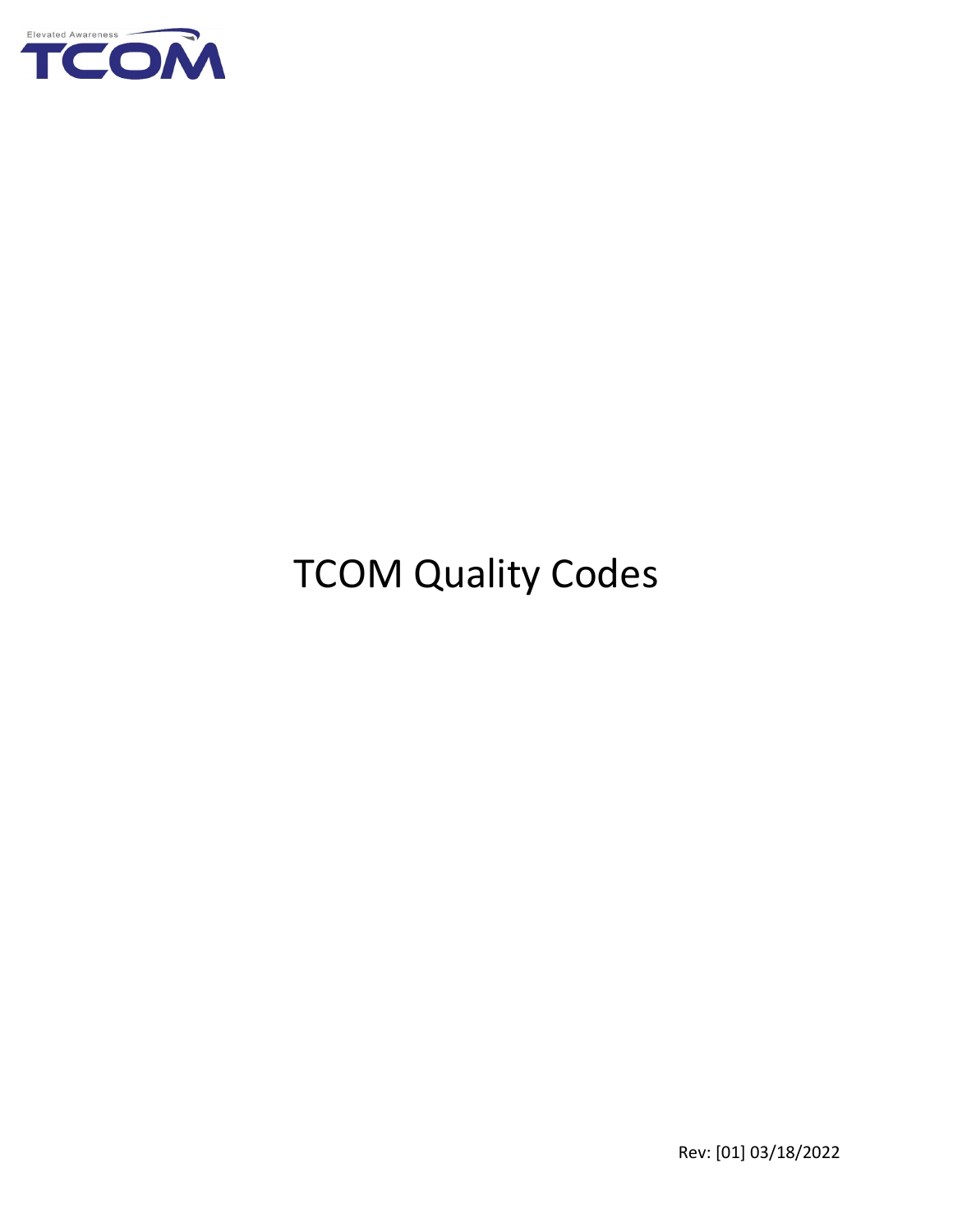

# TCOM Quality Codes

Rev: [01] 03/18/2022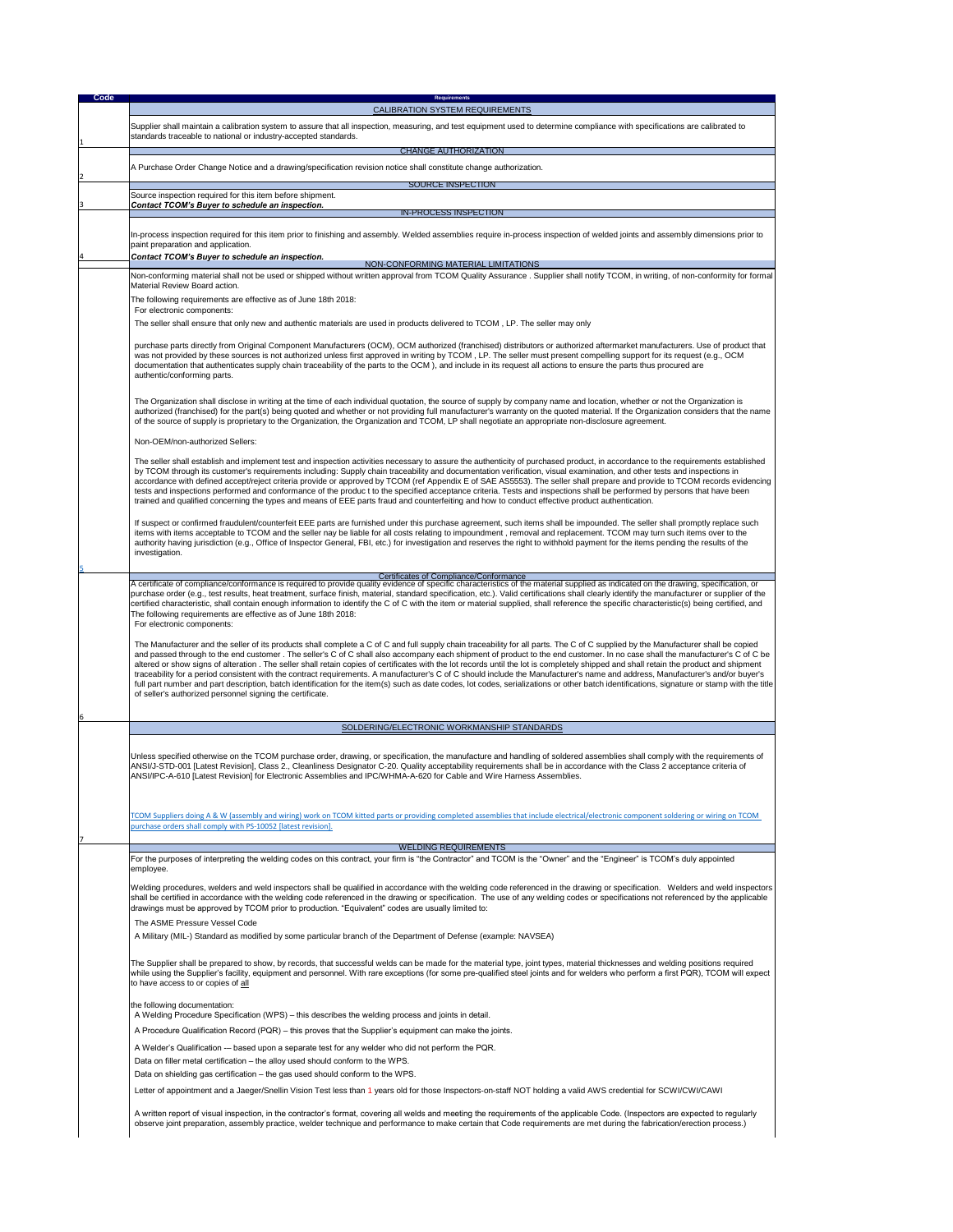The Supplier shall be prepared to show, by records, that successful welds can be made for the material type, joint types, material thicknesses and welding positions required while using the Supplier's facility, equipment and personnel. With rare exceptions (for some pre-qualified steel joints and for welders who perform a first PQR), TCOM will expect to have access to or copies of  $all$ 

| <b>Code</b> | <b>Requirements</b>                                                                                                                                                                                                                                                                                                                                                                                                                                                                                                                                                                                                                                                                                                                                                                                                                                                                                                                                                                                       |
|-------------|-----------------------------------------------------------------------------------------------------------------------------------------------------------------------------------------------------------------------------------------------------------------------------------------------------------------------------------------------------------------------------------------------------------------------------------------------------------------------------------------------------------------------------------------------------------------------------------------------------------------------------------------------------------------------------------------------------------------------------------------------------------------------------------------------------------------------------------------------------------------------------------------------------------------------------------------------------------------------------------------------------------|
|             | <b>CALIBRATION SYSTEM REQUIREMENTS</b>                                                                                                                                                                                                                                                                                                                                                                                                                                                                                                                                                                                                                                                                                                                                                                                                                                                                                                                                                                    |
|             | Supplier shall maintain a calibration system to assure that all inspection, measuring, and test equipment used to determine compliance with specifications are calibrated to<br>standards traceable to national or industry-accepted standards.                                                                                                                                                                                                                                                                                                                                                                                                                                                                                                                                                                                                                                                                                                                                                           |
|             | <b>CHANGE AUTHORIZATION</b>                                                                                                                                                                                                                                                                                                                                                                                                                                                                                                                                                                                                                                                                                                                                                                                                                                                                                                                                                                               |
|             | A Purchase Order Change Notice and a drawing/specification revision notice shall constitute change authorization.                                                                                                                                                                                                                                                                                                                                                                                                                                                                                                                                                                                                                                                                                                                                                                                                                                                                                         |
|             | <b>SOURCE INSPECTION</b>                                                                                                                                                                                                                                                                                                                                                                                                                                                                                                                                                                                                                                                                                                                                                                                                                                                                                                                                                                                  |
|             | Source inspection required for this item before shipment.                                                                                                                                                                                                                                                                                                                                                                                                                                                                                                                                                                                                                                                                                                                                                                                                                                                                                                                                                 |
|             | <b>Contact TCOM's Buyer to schedule an inspection.</b><br><b>IN-PROCESS INSPECTION</b>                                                                                                                                                                                                                                                                                                                                                                                                                                                                                                                                                                                                                                                                                                                                                                                                                                                                                                                    |
|             | In-process inspection required for this item prior to finishing and assembly. Welded assemblies require in-process inspection of welded joints and assembly dimensions prior to                                                                                                                                                                                                                                                                                                                                                                                                                                                                                                                                                                                                                                                                                                                                                                                                                           |
|             | paint preparation and application.<br><b>Contact TCOM's Buyer to schedule an inspection.</b>                                                                                                                                                                                                                                                                                                                                                                                                                                                                                                                                                                                                                                                                                                                                                                                                                                                                                                              |
|             | NON-CONFORMING MATERIAL LIMITATIONS<br>Non-conforming material shall not be used or shipped without written approval from TCOM Quality Assurance. Supplier shall notify TCOM, in writing, of non-conformity for formal<br><b>Material Review Board action.</b>                                                                                                                                                                                                                                                                                                                                                                                                                                                                                                                                                                                                                                                                                                                                            |
|             | The following requirements are effective as of June 18th 2018:<br>For electronic components:                                                                                                                                                                                                                                                                                                                                                                                                                                                                                                                                                                                                                                                                                                                                                                                                                                                                                                              |
|             | The seller shall ensure that only new and authentic materials are used in products delivered to TCOM, LP. The seller may only                                                                                                                                                                                                                                                                                                                                                                                                                                                                                                                                                                                                                                                                                                                                                                                                                                                                             |
|             | purchase parts directly from Original Component Manufacturers (OCM), OCM authorized (franchised) distributors or authorized aftermarket manufacturers. Use of product that<br>was not provided by these sources is not authorized unless first approved in writing by TCOM, LP. The seller must present compelling support for its request (e.g., OCM<br>documentation that authenticates supply chain traceability of the parts to the OCM), and include in its request all actions to ensure the parts thus procured are<br>authentic/conforming parts.                                                                                                                                                                                                                                                                                                                                                                                                                                                 |
|             | The Organization shall disclose in writing at the time of each individual quotation, the source of supply by company name and location, whether or not the Organization is<br>authorized (franchised) for the part(s) being quoted and whether or not providing full manufacturer's warranty on the quoted material. If the Organization considers that the name<br>of the source of supply is proprietary to the Organization, the Organization and TCOM, LP shall negotiate an appropriate non-disclosure agreement.                                                                                                                                                                                                                                                                                                                                                                                                                                                                                    |
|             | Non-OEM/non-authorized Sellers:                                                                                                                                                                                                                                                                                                                                                                                                                                                                                                                                                                                                                                                                                                                                                                                                                                                                                                                                                                           |
|             | The seller shall establish and implement test and inspection activities necessary to assure the authenticity of purchased product, in accordance to the requirements established<br>by TCOM through its customer's requirements including: Supply chain traceability and documentation verification, visual examination, and other tests and inspections in<br>accordance with defined accept/reject criteria provide or approved by TCOM (ref Appendix E of SAE AS5553). The seller shall prepare and provide to TCOM records evidencing<br>tests and inspections performed and conformance of the produc t to the specified acceptance criteria. Tests and inspections shall be performed by persons that have been<br>trained and qualified concerning the types and means of EEE parts fraud and counterfeiting and how to conduct effective product authentication.                                                                                                                                  |
|             | If suspect or confirmed fraudulent/counterfeit EEE parts are furnished under this purchase agreement, such items shall be impounded. The seller shall promptly replace such<br>items with items acceptable to TCOM and the seller nay be liable for all costs relating to impoundment, removal and replacement. TCOM may turn such items over to the<br>authority having jurisdiction (e.g., Office of Inspector General, FBI, etc.) for investigation and reserves the right to withhold payment for the items pending the results of the<br>investigation.                                                                                                                                                                                                                                                                                                                                                                                                                                              |
|             | <b>Certificates of Compliance/Conformance</b>                                                                                                                                                                                                                                                                                                                                                                                                                                                                                                                                                                                                                                                                                                                                                                                                                                                                                                                                                             |
|             | A certificate of compliance/conformance is required to provide quality evidence of specific characteristics of the material supplied as indicated on the drawing, specification, or<br>purchase order (e.g., test results, heat treatment, surface finish, material, standard specification, etc.). Valid certifications shall clearly identify the manufacturer or supplier of the<br>certified characteristic, shall contain enough information to identify the C of C with the item or material supplied, shall reference the specific characteristic(s) being certified, and<br>The following requirements are effective as of June 18th 2018:<br>For electronic components:                                                                                                                                                                                                                                                                                                                          |
|             | The Manufacturer and the seller of its products shall complete a C of C and full supply chain traceability for all parts. The C of C supplied by the Manufacturer shall be copied<br>and passed through to the end customer. The seller's C of C shall also accompany each shipment of product to the end customer. In no case shall the manufacturer's C of C be<br>altered or show signs of alteration. The seller shall retain copies of certificates with the lot records until the lot is completely shipped and shall retain the product and shipment<br>traceability for a period consistent with the contract requirements. A manufacturer's C of C should include the Manufacturer's name and address, Manufacturer's and/or buyer's<br>full part number and part description, batch identification for the item(s) such as date codes, lot codes, serializations or other batch identifications, signature or stamp with the title<br>of seller's authorized personnel signing the certificate. |
|             | SOLDERING/ELECTRONIC WORKMANSHIP STANDARDS                                                                                                                                                                                                                                                                                                                                                                                                                                                                                                                                                                                                                                                                                                                                                                                                                                                                                                                                                                |
|             | Unless specified otherwise on the TCOM purchase order, drawing, or specification, the manufacture and handling of soldered assemblies shall comply with the requirements of<br>ANSI/J-STD-001 [Latest Revision], Class 2., Cleanliness Designator C-20. Quality acceptability requirements shall be in accordance with the Class 2 acceptance criteria of<br>ANSI/IPC-A-610 [Latest Revision] for Electronic Assemblies and IPC/WHMA-A-620 for Cable and Wire Harness Assemblies.                                                                                                                                                                                                                                                                                                                                                                                                                                                                                                                         |
|             | TCOM Suppliers doing A & W (assembly and wiring) work on TCOM kitted parts or providing completed assemblies that include electrical/electronic component soldering or wiring on TCOM<br>purchase orders shall comply with PS-10052 [latest revision].                                                                                                                                                                                                                                                                                                                                                                                                                                                                                                                                                                                                                                                                                                                                                    |
|             | <b>WELDING REQUIREMENTS</b>                                                                                                                                                                                                                                                                                                                                                                                                                                                                                                                                                                                                                                                                                                                                                                                                                                                                                                                                                                               |
|             | For the purposes of interpreting the welding codes on this contract, your firm is "the Contractor" and TCOM is the "Owner" and the "Engineer" is TCOM's duly appointed<br>employee.                                                                                                                                                                                                                                                                                                                                                                                                                                                                                                                                                                                                                                                                                                                                                                                                                       |
|             | Welding procedures, welders and weld inspectors shall be qualified in accordance with the welding code referenced in the drawing or specification. Welders and weld inspectors<br>shall be certified in accordance with the welding code referenced in the drawing or specification. The use of any welding codes or specifications not referenced by the applicable<br>drawings must be approved by TCOM prior to production. "Equivalent" codes are usually limited to:                                                                                                                                                                                                                                                                                                                                                                                                                                                                                                                                 |

**The ASME Pressure Vessel Code** 

A Welder's Qualification – based upon a separate test for any welder who did not perform the PQR.

Data on filler metal certification – the alloy used should conform to the WPS.

Data on shielding gas certification – the gas used should conform to the WPS.

Letter of appointment and a Jaeger/Snellin Vision Test less than 1 years old for those Inspectors-on-staff NOT holding a valid AWS credential for SCWI/CWI/CAWI

A written report of visual inspection, in the contractor's format, covering all welds and meeting the requirements of the applicable Code. (Inspectors are expected to regularly observe joint preparation, assembly practice, welder technique and performance to make certain that Code requirements are met during the fabrication/erection process.)

A Military (MIL-) Standard as modified by some particular branch of the Department of Defense (example: NAVSEA)

the following documentation:

A Welding Procedure Specification (WPS) – this describes the welding process and joints in detail.

A Procedure Qualification Record (PQR) – this proves that the Supplier's equipment can make the joints.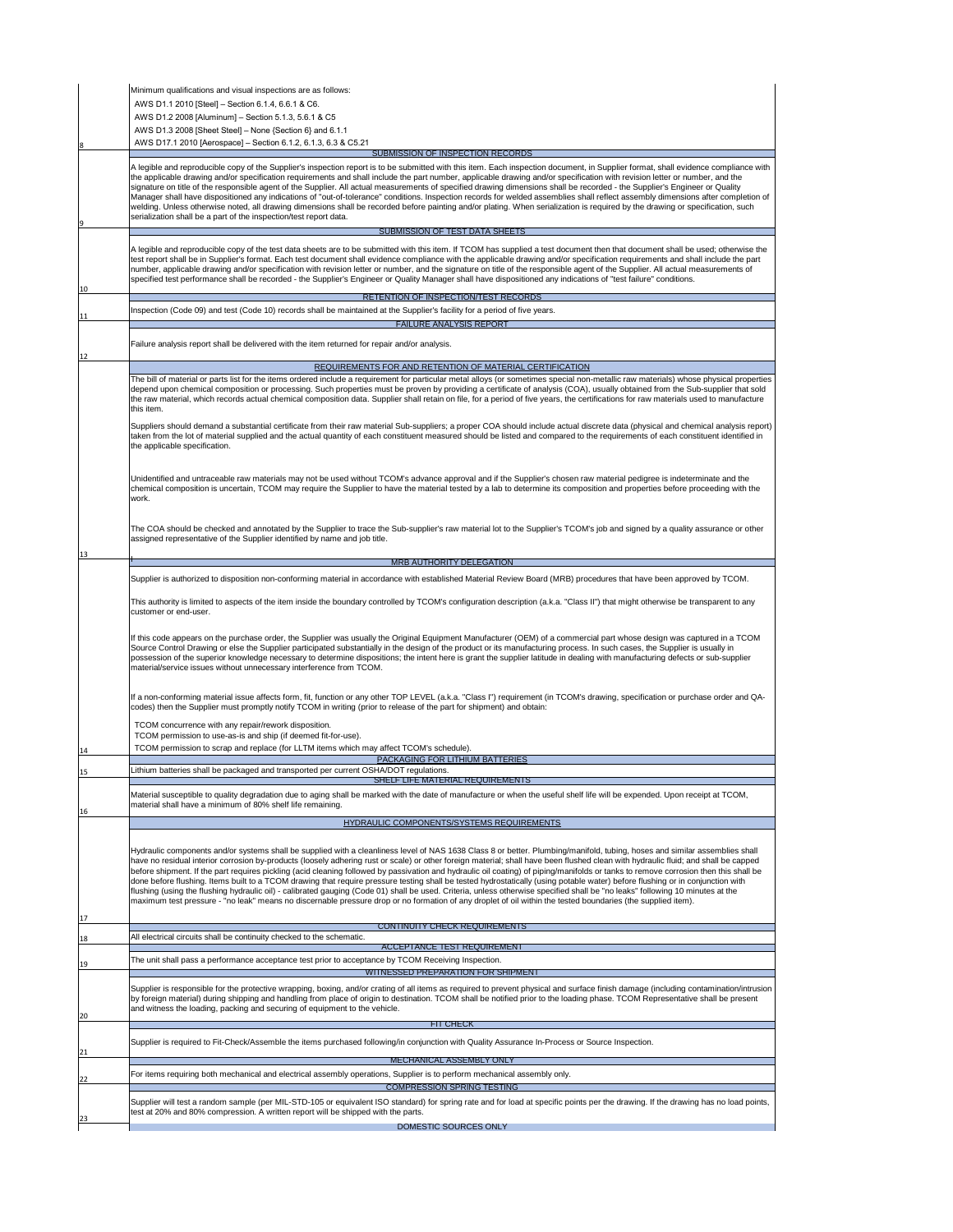|    | Minimum qualifications and visual inspections are as follows:                                                                                                                                                                                                                                                                                                                                                                                                                                                                                                                                                                                                                                                                                                                                                                                                                                                                                                                                 |
|----|-----------------------------------------------------------------------------------------------------------------------------------------------------------------------------------------------------------------------------------------------------------------------------------------------------------------------------------------------------------------------------------------------------------------------------------------------------------------------------------------------------------------------------------------------------------------------------------------------------------------------------------------------------------------------------------------------------------------------------------------------------------------------------------------------------------------------------------------------------------------------------------------------------------------------------------------------------------------------------------------------|
|    | AWS D1.1 2010 [Steel] – Section 6.1.4, 6.6.1 & C6.                                                                                                                                                                                                                                                                                                                                                                                                                                                                                                                                                                                                                                                                                                                                                                                                                                                                                                                                            |
|    | AWS D1.2 2008 [Aluminum] – Section 5.1.3, 5.6.1 & C5                                                                                                                                                                                                                                                                                                                                                                                                                                                                                                                                                                                                                                                                                                                                                                                                                                                                                                                                          |
|    | AWS D1.3 2008 [Sheet Steel] $-$ None {Section 6} and 6.1.1                                                                                                                                                                                                                                                                                                                                                                                                                                                                                                                                                                                                                                                                                                                                                                                                                                                                                                                                    |
|    | AWS D17.1 2010 [Aerospace] – Section 6.1.2, 6.1.3, 6.3 & C5.21                                                                                                                                                                                                                                                                                                                                                                                                                                                                                                                                                                                                                                                                                                                                                                                                                                                                                                                                |
|    | <b>SUBMISSION OF INSPECTION RECORDS</b>                                                                                                                                                                                                                                                                                                                                                                                                                                                                                                                                                                                                                                                                                                                                                                                                                                                                                                                                                       |
|    | A legible and reproducible copy of the Supplier's inspection report is to be submitted with this item. Each inspection document, in Supplier format, shall evidence compliance with<br>the applicable drawing and/or specification requirements and shall include the part number, applicable drawing and/or specification with revision letter or number, and the<br>signature on title of the responsible agent of the Supplier. All actual measurements of specified drawing dimensions shall be recorded - the Supplier's Engineer or Quality<br>Manager shall have dispositioned any indications of "out-of-tolerance" conditions. Inspection records for welded assemblies shall reflect assembly dimensions after completion of<br>welding. Unless otherwise noted, all drawing dimensions shall be recorded before painting and/or plating. When serialization is required by the drawing or specification, such<br>serialization shall be a part of the inspection/test report data. |
|    | <b>SUBMISSION OF TEST DATA SHEETS</b>                                                                                                                                                                                                                                                                                                                                                                                                                                                                                                                                                                                                                                                                                                                                                                                                                                                                                                                                                         |
| 10 | A legible and reproducible copy of the test data sheets are to be submitted with this item. If TCOM has supplied a test document then that document shall be used; otherwise the<br>test report shall be in Supplier's format. Each test document shall evidence compliance with the applicable drawing and/or specification requirements and shall include the part<br>number, applicable drawing and/or specification with revision letter or number, and the signature on title of the responsible agent of the Supplier. All actual measurements of<br>specified test performance shall be recorded - the Supplier's Engineer or Quality Manager shall have dispositioned any indications of "test failure" conditions.                                                                                                                                                                                                                                                                   |
|    | RETENTION OF INSPECTION/TEST RECORDS                                                                                                                                                                                                                                                                                                                                                                                                                                                                                                                                                                                                                                                                                                                                                                                                                                                                                                                                                          |
| 11 | Inspection (Code 09) and test (Code 10) records shall be maintained at the Supplier's facility for a period of five years.                                                                                                                                                                                                                                                                                                                                                                                                                                                                                                                                                                                                                                                                                                                                                                                                                                                                    |
|    | <b>FAILURE ANALYSIS REPORT</b>                                                                                                                                                                                                                                                                                                                                                                                                                                                                                                                                                                                                                                                                                                                                                                                                                                                                                                                                                                |
|    | Failure analysis report shall be delivered with the item returned for repair and/or analysis.                                                                                                                                                                                                                                                                                                                                                                                                                                                                                                                                                                                                                                                                                                                                                                                                                                                                                                 |
| 12 |                                                                                                                                                                                                                                                                                                                                                                                                                                                                                                                                                                                                                                                                                                                                                                                                                                                                                                                                                                                               |
|    | REQUIREMENTS FOR AND RETENTION OF MATERIAL CERTIFICATION                                                                                                                                                                                                                                                                                                                                                                                                                                                                                                                                                                                                                                                                                                                                                                                                                                                                                                                                      |
|    | The bill of material or parts list for the items ordered include a requirement for particular metal alloys (or sometimes special non-metallic raw materials) whose physical properties<br>depend upon chemical composition or processing. Such properties must be proven by providing a certificate of analysis (COA), usually obtained from the Sub-supplier that sold<br>the raw material, which records actual chemical composition data. Supplier shall retain on file, for a period of five years, the certifications for raw materials used to manufacture<br>this item.                                                                                                                                                                                                                                                                                                                                                                                                                |
|    | Suppliers should demand a substantial certificate from their raw material Sub-suppliers; a proper COA should include actual discrete data (physical and chemical analysis report)<br>taken from the lot of material supplied and the actual quantity of each constituent measured should be listed and compared to the requirements of each constituent identified in<br>the applicable specification.                                                                                                                                                                                                                                                                                                                                                                                                                                                                                                                                                                                        |

|    | Unidentified and untraceable raw materials may not be used without TCOM's advance approval and if the Supplier's chosen raw material pedigree is indeterminate and the<br>chemical composition is uncertain, TCOM may require the Supplier to have the material tested by a lab to determine its composition and properties before proceeding with the<br>work.                                                                                                                                                                                                                                                                                                                                                                                                                                                                                                                                                                                                                                                                                                                                |
|----|------------------------------------------------------------------------------------------------------------------------------------------------------------------------------------------------------------------------------------------------------------------------------------------------------------------------------------------------------------------------------------------------------------------------------------------------------------------------------------------------------------------------------------------------------------------------------------------------------------------------------------------------------------------------------------------------------------------------------------------------------------------------------------------------------------------------------------------------------------------------------------------------------------------------------------------------------------------------------------------------------------------------------------------------------------------------------------------------|
| 13 | The COA should be checked and annotated by the Supplier to trace the Sub-supplier's raw material lot to the Supplier's TCOM's job and signed by a quality assurance or other<br>assigned representative of the Supplier identified by name and job title.                                                                                                                                                                                                                                                                                                                                                                                                                                                                                                                                                                                                                                                                                                                                                                                                                                      |
|    | <b>MRB AUTHORITY DELEGATION</b>                                                                                                                                                                                                                                                                                                                                                                                                                                                                                                                                                                                                                                                                                                                                                                                                                                                                                                                                                                                                                                                                |
|    | Supplier is authorized to disposition non-conforming material in accordance with established Material Review Board (MRB) procedures that have been approved by TCOM.                                                                                                                                                                                                                                                                                                                                                                                                                                                                                                                                                                                                                                                                                                                                                                                                                                                                                                                           |
|    | This authority is limited to aspects of the item inside the boundary controlled by TCOM's configuration description (a.k.a. "Class II") that might otherwise be transparent to any<br>customer or end-user.                                                                                                                                                                                                                                                                                                                                                                                                                                                                                                                                                                                                                                                                                                                                                                                                                                                                                    |
|    | If this code appears on the purchase order, the Supplier was usually the Original Equipment Manufacturer (OEM) of a commercial part whose design was captured in a TCOM<br>Source Control Drawing or else the Supplier participated substantially in the design of the product or its manufacturing process. In such cases, the Supplier is usually in<br>possession of the superior knowledge necessary to determine dispositions; the intent here is grant the supplier latitude in dealing with manufacturing defects or sub-supplier<br>material/service issues without unnecessary interference from TCOM.                                                                                                                                                                                                                                                                                                                                                                                                                                                                                |
|    | If a non-conforming material issue affects form, fit, function or any other TOP LEVEL (a.k.a. "Class I") requirement (in TCOM's drawing, specification or purchase order and QA-<br>codes) then the Supplier must promptly notify TCOM in writing (prior to release of the part for shipment) and obtain:                                                                                                                                                                                                                                                                                                                                                                                                                                                                                                                                                                                                                                                                                                                                                                                      |
|    | TCOM concurrence with any repair/rework disposition.<br>TCOM permission to use-as-is and ship (if deemed fit-for-use).                                                                                                                                                                                                                                                                                                                                                                                                                                                                                                                                                                                                                                                                                                                                                                                                                                                                                                                                                                         |
| 14 | TCOM permission to scrap and replace (for LLTM items which may affect TCOM's schedule).                                                                                                                                                                                                                                                                                                                                                                                                                                                                                                                                                                                                                                                                                                                                                                                                                                                                                                                                                                                                        |
|    | <b>PACKAGING FOR LITHIUM BATTERIES</b>                                                                                                                                                                                                                                                                                                                                                                                                                                                                                                                                                                                                                                                                                                                                                                                                                                                                                                                                                                                                                                                         |
| 15 | Lithium batteries shall be packaged and transported per current OSHA/DOT regulations.                                                                                                                                                                                                                                                                                                                                                                                                                                                                                                                                                                                                                                                                                                                                                                                                                                                                                                                                                                                                          |
|    | SHELF LIFE MATERIAL REQUIREMENTS                                                                                                                                                                                                                                                                                                                                                                                                                                                                                                                                                                                                                                                                                                                                                                                                                                                                                                                                                                                                                                                               |
| 16 | Material susceptible to quality degradation due to aging shall be marked with the date of manufacture or when the useful shelf life will be expended. Upon receipt at TCOM,<br>material shall have a minimum of 80% shelf life remaining.                                                                                                                                                                                                                                                                                                                                                                                                                                                                                                                                                                                                                                                                                                                                                                                                                                                      |
|    | <b>HYDRAULIC COMPONENTS/SYSTEMS REQUIREMENTS</b>                                                                                                                                                                                                                                                                                                                                                                                                                                                                                                                                                                                                                                                                                                                                                                                                                                                                                                                                                                                                                                               |
|    | Hydraulic components and/or systems shall be supplied with a cleanliness level of NAS 1638 Class 8 or better. Plumbing/manifold, tubing, hoses and similar assemblies shall<br>have no residual interior corrosion by-products (loosely adhering rust or scale) or other foreign material; shall have been flushed clean with hydraulic fluid; and shall be capped<br>before shipment. If the part requires pickling (acid cleaning followed by passivation and hydraulic oil coating) of piping/manifolds or tanks to remove corrosion then this shall be<br>done before flushing. Items built to a TCOM drawing that require pressure testing shall be tested hydrostatically (using potable water) before flushing or in conjunction with<br>flushing (using the flushing hydraulic oil) - calibrated gauging (Code 01) shall be used. Criteria, unless otherwise specified shall be "no leaks" following 10 minutes at the<br>maximum test pressure - "no leak" means no discernable pressure drop or no formation of any droplet of oil within the tested boundaries (the supplied item). |

|    | <b>CONTINUITY CHECK REQUIREMENTS</b>                                                                                                                                                                                                                                                                                                                                                                                                                  |
|----|-------------------------------------------------------------------------------------------------------------------------------------------------------------------------------------------------------------------------------------------------------------------------------------------------------------------------------------------------------------------------------------------------------------------------------------------------------|
| 18 | All electrical circuits shall be continuity checked to the schematic.                                                                                                                                                                                                                                                                                                                                                                                 |
|    | <b>ACCEPTANCE TEST REQUIREMENT</b>                                                                                                                                                                                                                                                                                                                                                                                                                    |
| 19 | The unit shall pass a performance acceptance test prior to acceptance by TCOM Receiving Inspection.                                                                                                                                                                                                                                                                                                                                                   |
|    | <b>WITNESSED PREPARATION FOR SHIPMENT</b>                                                                                                                                                                                                                                                                                                                                                                                                             |
| 20 | Supplier is responsible for the protective wrapping, boxing, and/or crating of all items as required to prevent physical and surface finish damage (including contamination/intrusion<br>by foreign material) during shipping and handling from place of origin to destination. TCOM shall be notified prior to the loading phase. TCOM Representative shall be present<br>and witness the loading, packing and securing of equipment to the vehicle. |
|    | <b>FIT CHECK</b>                                                                                                                                                                                                                                                                                                                                                                                                                                      |
| 21 | Supplier is required to Fit-Check/Assemble the items purchased following/in conjunction with Quality Assurance In-Process or Source Inspection.                                                                                                                                                                                                                                                                                                       |
|    | <b>MECHANICAL ASSEMBLY ONLY</b>                                                                                                                                                                                                                                                                                                                                                                                                                       |
| 22 | For items requiring both mechanical and electrical assembly operations, Supplier is to perform mechanical assembly only.                                                                                                                                                                                                                                                                                                                              |
|    | <b>COMPRESSION SPRING TESTING</b>                                                                                                                                                                                                                                                                                                                                                                                                                     |
| 23 | Supplier will test a random sample (per MIL-STD-105 or equivalent ISO standard) for spring rate and for load at specific points per the drawing. If the drawing has no load points,<br>test at 20% and 80% compression. A written report will be shipped with the parts.                                                                                                                                                                              |
|    | DOMESTIC SOURCES ONLY                                                                                                                                                                                                                                                                                                                                                                                                                                 |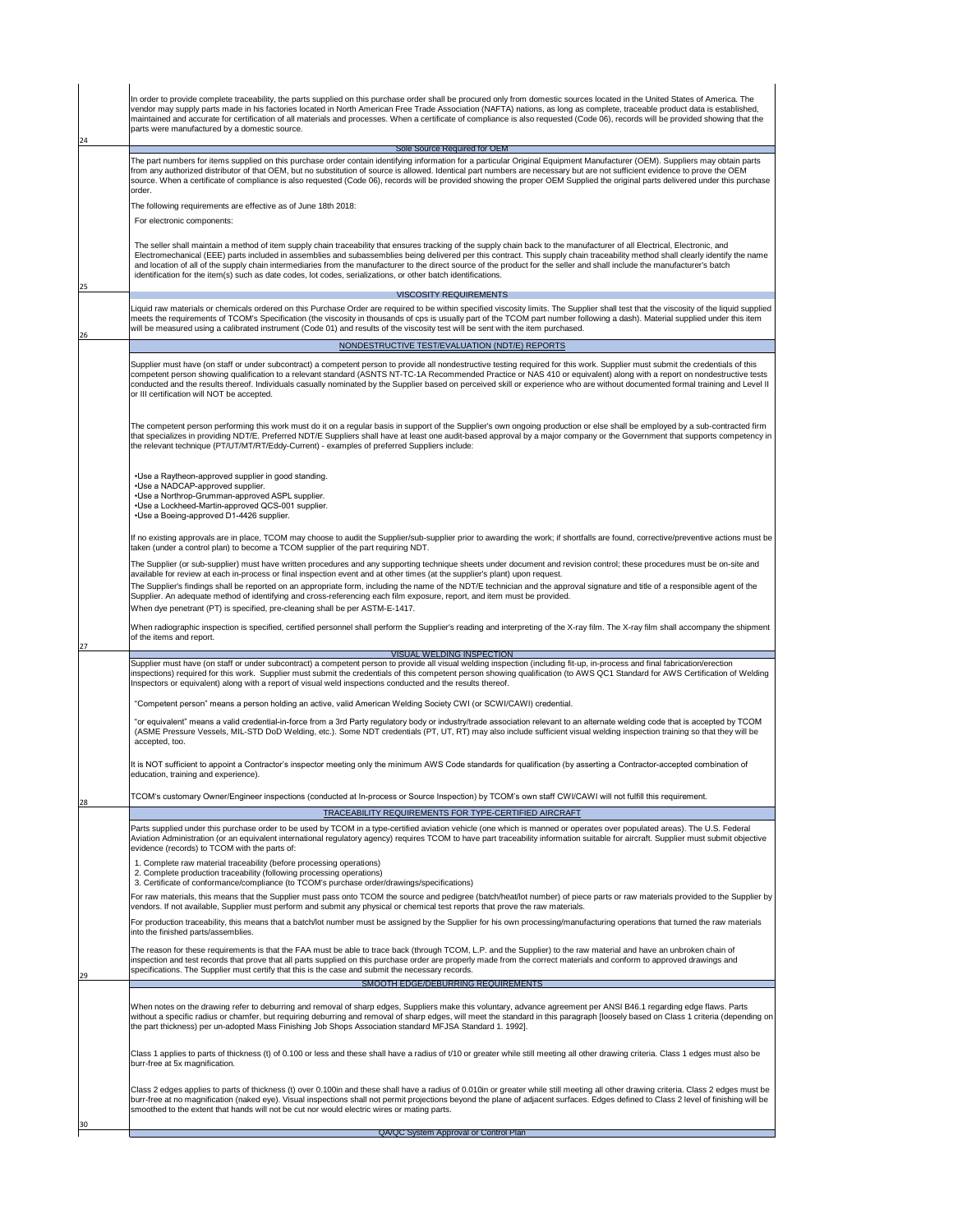| In order to provide complete traceability, the parts supplied on this purchase order shall be procured only from domestic sources located in the United States of America. The<br>vendor may supply parts made in his factories located in North American Free Trade Association (NAFTA) nations, as long as complete, traceable product data is established,                                                                                                                                                                                                                                                                                                                                            |  |
|----------------------------------------------------------------------------------------------------------------------------------------------------------------------------------------------------------------------------------------------------------------------------------------------------------------------------------------------------------------------------------------------------------------------------------------------------------------------------------------------------------------------------------------------------------------------------------------------------------------------------------------------------------------------------------------------------------|--|
| maintained and accurate for certification of all materials and processes. When a certificate of compliance is also requested (Code 06), records will be provided showing that the<br>parts were manufactured by a domestic source.                                                                                                                                                                                                                                                                                                                                                                                                                                                                       |  |
| <b>Sole Source Required for OEM</b><br>The part numbers for items supplied on this purchase order contain identifying information for a particular Original Equipment Manufacturer (OEM). Suppliers may obtain parts<br>from any authorized distributor of that OEM, but no substitution of source is allowed. Identical part numbers are necessary but are not sufficient evidence to prove the OEM<br>source. When a certificate of compliance is also requested (Code 06), records will be provided showing the proper OEM Supplied the original parts delivered under this purchase                                                                                                                  |  |
| order.<br>The following requirements are effective as of June 18th 2018:<br>For electronic components:                                                                                                                                                                                                                                                                                                                                                                                                                                                                                                                                                                                                   |  |
| The seller shall maintain a method of item supply chain traceability that ensures tracking of the supply chain back to the manufacturer of all Electrical, Electronic, and<br>Electromechanical (EEE) parts included in assemblies and subassemblies being delivered per this contract. This supply chain traceability method shall clearly identify the name<br>and location of all of the supply chain intermediaries from the manufacturer to the direct source of the product for the seller and shall include the manufacturer's batch<br>identification for the item(s) such as date codes, lot codes, serializations, or other batch identifications.                                             |  |
| <b>VISCOSITY REQUIREMENTS</b>                                                                                                                                                                                                                                                                                                                                                                                                                                                                                                                                                                                                                                                                            |  |
| Liquid raw materials or chemicals ordered on this Purchase Order are required to be within specified viscosity limits. The Supplier shall test that the viscosity of the liquid supplied<br>meets the requirements of TCOM's Specification (the viscosity in thousands of cps is usually part of the TCOM part number following a dash). Material supplied under this item<br>will be measured using a calibrated instrument (Code 01) and results of the viscosity test will be sent with the item purchased.                                                                                                                                                                                           |  |
| NONDESTRUCTIVE TEST/EVALUATION (NDT/E) REPORTS                                                                                                                                                                                                                                                                                                                                                                                                                                                                                                                                                                                                                                                           |  |
| Supplier must have (on staff or under subcontract) a competent person to provide all nondestructive testing required for this work. Supplier must submit the credentials of this<br>competent person showing qualification to a relevant standard (ASNTS NT-TC-1A Recommended Practice or NAS 410 or equivalent) along with a report on nondestructive tests<br>conducted and the results thereof. Individuals casually nominated by the Supplier based on perceived skill or experience who are without documented formal training and Level II<br>or III certification will NOT be accepted.                                                                                                           |  |
| The competent person performing this work must do it on a regular basis in support of the Supplier's own ongoing production or else shall be employed by a sub-contracted firm<br>that specializes in providing NDT/E. Preferred NDT/E Suppliers shall have at least one audit-based approval by a major company or the Government that supports competency in<br>the relevant technique (PT/UT/MT/RT/Eddy-Current) - examples of preferred Suppliers include:                                                                                                                                                                                                                                           |  |
| •Use a Raytheon-approved supplier in good standing.<br>•Use a NADCAP-approved supplier.<br>. Use a Northrop-Grumman-approved ASPL supplier.<br>. Use a Lockheed-Martin-approved QCS-001 supplier.<br>•Use a Boeing-approved D1-4426 supplier.                                                                                                                                                                                                                                                                                                                                                                                                                                                            |  |
| If no existing approvals are in place, TCOM may choose to audit the Supplier/sub-supplier prior to awarding the work; if shortfalls are found, corrective/preventive actions must be<br>taken (under a control plan) to become a TCOM supplier of the part requiring NDT.                                                                                                                                                                                                                                                                                                                                                                                                                                |  |
| The Supplier (or sub-supplier) must have written procedures and any supporting technique sheets under document and revision control; these procedures must be on-site and<br>available for review at each in-process or final inspection event and at other times (at the supplier's plant) upon request.<br>The Supplier's findings shall be reported on an appropriate form, including the name of the NDT/E technician and the approval signature and title of a responsible agent of the<br>Supplier. An adequate method of identifying and cross-referencing each film exposure, report, and item must be provided.<br>When dye penetrant (PT) is specified, pre-cleaning shall be per ASTM-E-1417. |  |
| When radiographic inspection is specified, certified personnel shall perform the Supplier's reading and interpreting of the X-ray film. The X-ray film shall accompany the shipment<br>of the items and report.                                                                                                                                                                                                                                                                                                                                                                                                                                                                                          |  |
| <b>VISUAL WELDING INSPECTION</b><br>Supplier must have (on staff or under subcontract) a competent person to provide all visual welding inspection (including fit-up, in-process and final fabrication/erection                                                                                                                                                                                                                                                                                                                                                                                                                                                                                          |  |
| inspections) required for this work. Supplier must submit the credentials of this competent person showing qualification (to AWS QC1 Standard for AWS Certification of Welding<br>Inspectors or equivalent) along with a report of visual weld inspections conducted and the results thereof.                                                                                                                                                                                                                                                                                                                                                                                                            |  |
| "Competent person" means a person holding an active, valid American Welding Society CWI (or SCWI/CAWI) credential.                                                                                                                                                                                                                                                                                                                                                                                                                                                                                                                                                                                       |  |
| "or equivalent" means a valid credential-in-force from a 3rd Party regulatory body or industry/trade association relevant to an alternate welding code that is accepted by TCOM<br>(ASME Pressure Vessels, MIL-STD DoD Welding, etc.). Some NDT credentials (PT, UT, RT) may also include sufficient visual welding inspection training so that they will be<br>accepted, too.                                                                                                                                                                                                                                                                                                                           |  |
| It is NOT sufficient to appoint a Contractor's inspector meeting only the minimum AWS Code standards for qualification (by asserting a Contractor-accepted combination of<br>education, training and experience).                                                                                                                                                                                                                                                                                                                                                                                                                                                                                        |  |
| TCOM's customary Owner/Engineer inspections (conducted at In-process or Source Inspection) by TCOM's own staff CWI/CAWI will not fulfill this requirement.<br>TRACEABILITY REQUIREMENTS FOR TYPE-CERTIFIED AIRCRAFT                                                                                                                                                                                                                                                                                                                                                                                                                                                                                      |  |
| Parts supplied under this purchase order to be used by TCOM in a type-certified aviation vehicle (one which is manned or operates over populated areas). The U.S. Federal<br>Aviation Administration (or an equivalent international regulatory agency) requires TCOM to have part traceability information suitable for aircraft. Supplier must submit objective<br>evidence (records) to TCOM with the parts of:                                                                                                                                                                                                                                                                                       |  |
| . Complete raw material traceability (before processing operations)<br>2. Complete production traceability (following processing operations)<br>3. Certificate of conformance/compliance (to TCOM's purchase order/drawings/specifications)                                                                                                                                                                                                                                                                                                                                                                                                                                                              |  |
| For raw materials, this means that the Supplier must pass onto TCOM the source and pedigree (batch/heat/lot number) of piece parts or raw materials provided to the Supplier by<br>vendors. If not available, Supplier must perform and submit any physical or chemical test reports that prove the raw materials.<br>For production traceability, this means that a batch/lot number must be assigned by the Supplier for his own processing/manufacturing operations that turned the raw materials                                                                                                                                                                                                     |  |
| into the finished parts/assemblies.<br>The reason for these requirements is that the FAA must be able to trace back (through TCOM, L.P. and the Supplier) to the raw material and have an unbroken chain of                                                                                                                                                                                                                                                                                                                                                                                                                                                                                              |  |
| inspection and test records that prove that all parts supplied on this purchase order are properly made from the correct materials and conform to approved drawings and<br>specifications. The Supplier must certify that this is the case and submit the necessary records.<br><b>SMOOTH EDGE/DEBURRING REQUIREMENTS</b>                                                                                                                                                                                                                                                                                                                                                                                |  |
| When notes on the drawing refer to deburring and removal of sharp edges, Suppliers make this voluntary, advance agreement per ANSI B46.1 regarding edge flaws. Parts<br> without a specific radius or chamfer, but requiring deburring and removal of sharp edges, will meet the standard in this paragraph [loosely based on Class 1 criteria (depending on  <br>the part thickness) per un-adopted Mass Finishing Job Shops Association standard MFJSA Standard 1. 1992].                                                                                                                                                                                                                              |  |
| Class 1 applies to parts of thickness (t) of 0.100 or less and these shall have a radius of t/10 or greater while still meeting all other drawing criteria. Class 1 edges must also be<br>burr-free at 5x magnification.                                                                                                                                                                                                                                                                                                                                                                                                                                                                                 |  |
| Class 2 edges applies to parts of thickness (t) over 0.100in and these shall have a radius of 0.010in or greater while still meeting all other drawing criteria. Class 2 edges must be<br>burr-free at no magnification (naked eye). Visual inspections shall not permit projections beyond the plane of adjacent surfaces. Edges defined to Class 2 level of finishing will be<br>smoothed to the extent that hands will not be cut nor would electric wires or mating parts.                                                                                                                                                                                                                           |  |
| QA/QC System Approval or Control Plan                                                                                                                                                                                                                                                                                                                                                                                                                                                                                                                                                                                                                                                                    |  |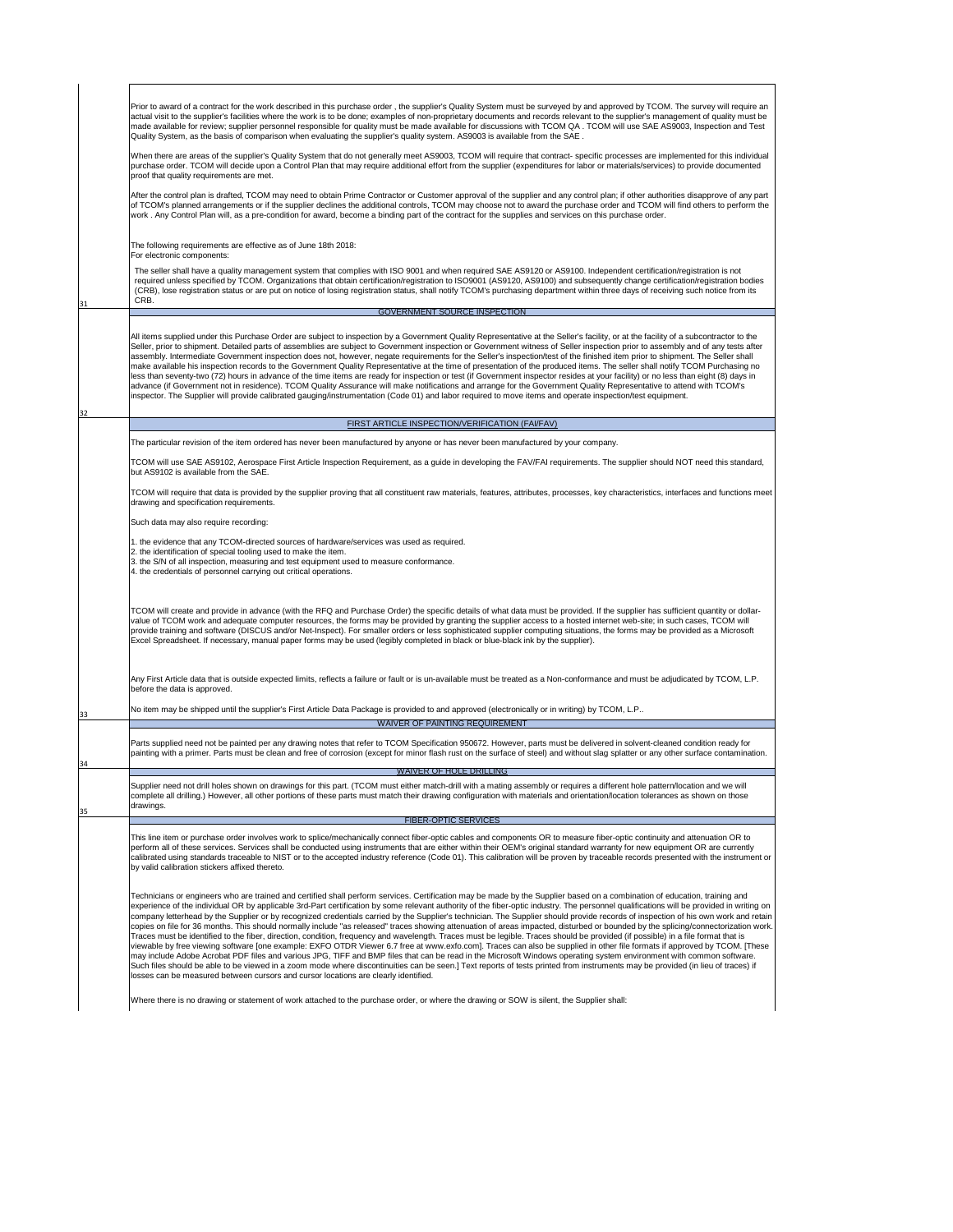31

32

|copies on file for 36 months. This should normally include "as released" traces showing attenuation of areas impacted, disturbed or bounded by the splicing/connectorization work. | Traces must be identified to the fiber, direction, condition, frequency and wavelength. Traces must be legible. Traces should be provided (if possible) in a file format that is viewable by free viewing software [one example: EXFO OTDR Viewer 6.7 free at www.exfo.com]. Traces can also be supplied in other file formats if approved by TCOM. [These may include Adobe Acrobat PDF files and various JPG, TIFF and BMP files that can be read in the Microsoft Windows operating system environment with common software. Such files should be able to be viewed in a zoom mode where discontinuities can be seen.] Text reports of tests printed from instruments may be provided (in lieu of traces) if losses can be measured between cursors and cursor locations are clearly identified.

| Prior to award of a contract for the work described in this purchase order, the supplier's Quality System must be surveyed by and approved by TCOM. The survey will require an<br>actual visit to the supplier's facilities where the work is to be done; examples of non-proprietary documents and records relevant to the supplier's management of quality must be<br>made available for review; supplier personnel responsible for quality must be made available for discussions with TCOM QA. TCOM will use SAE AS9003, Inspection and Test<br> Quality System, as the basis of comparison when evaluating the supplier's quality system. AS9003 is available from the SAE.                                                                                                                                                                                                                                                                                                                                                                                                                                                                                                                                                                                      |
|-----------------------------------------------------------------------------------------------------------------------------------------------------------------------------------------------------------------------------------------------------------------------------------------------------------------------------------------------------------------------------------------------------------------------------------------------------------------------------------------------------------------------------------------------------------------------------------------------------------------------------------------------------------------------------------------------------------------------------------------------------------------------------------------------------------------------------------------------------------------------------------------------------------------------------------------------------------------------------------------------------------------------------------------------------------------------------------------------------------------------------------------------------------------------------------------------------------------------------------------------------------------------|
| When there are areas of the supplier's Quality System that do not generally meet AS9003, TCOM will require that contract- specific processes are implemented for this individual<br>purchase order. TCOM will decide upon a Control Plan that may require additional effort from the supplier (expenditures for labor or materials/services) to provide documented<br>proof that quality requirements are met.                                                                                                                                                                                                                                                                                                                                                                                                                                                                                                                                                                                                                                                                                                                                                                                                                                                        |
| After the control plan is drafted, TCOM may need to obtain Prime Contractor or Customer approval of the supplier and any control plan; if other authorities disapprove of any part<br>of TCOM's planned arrangements or if the supplier declines the additional controls, TCOM may choose not to award the purchase order and TCOM will find others to perform the<br>work. Any Control Plan will, as a pre-condition for award, become a binding part of the contract for the supplies and services on this purchase order.                                                                                                                                                                                                                                                                                                                                                                                                                                                                                                                                                                                                                                                                                                                                          |
| The following requirements are effective as of June 18th 2018:<br>For electronic components:                                                                                                                                                                                                                                                                                                                                                                                                                                                                                                                                                                                                                                                                                                                                                                                                                                                                                                                                                                                                                                                                                                                                                                          |
| The seller shall have a quality management system that complies with ISO 9001 and when required SAE AS9120 or AS9100. Independent certification/registration is not<br>required unless specified by TCOM. Organizations that obtain certification/registration to ISO9001 (AS9120, AS9100) and subsequently change certification/registration bodies<br>(CRB), lose registration status or are put on notice of losing registration status, shall notify TCOM's purchasing department within three days of receiving such notice from its<br>CRB.                                                                                                                                                                                                                                                                                                                                                                                                                                                                                                                                                                                                                                                                                                                     |
| <b>GOVERNMENT SOURCE INSPECTION</b>                                                                                                                                                                                                                                                                                                                                                                                                                                                                                                                                                                                                                                                                                                                                                                                                                                                                                                                                                                                                                                                                                                                                                                                                                                   |
| All items supplied under this Purchase Order are subject to inspection by a Government Quality Representative at the Seller's facility, or at the facility of a subcontractor to the<br>Seller, prior to shipment. Detailed parts of assemblies are subject to Government inspection or Government witness of Seller inspection prior to assembly and of any tests after<br>assembly. Intermediate Government inspection does not, however, negate requirements for the Seller's inspection/test of the finished item prior to shipment. The Seller shall<br>make available his inspection records to the Government Quality Representative at the time of presentation of the produced items. The seller shall notify TCOM Purchasing no<br>less than seventy-two (72) hours in advance of the time items are ready for inspection or test (if Government inspector resides at your facility) or no less than eight (8) days in<br>advance (if Government not in residence). TCOM Quality Assurance will make notifications and arrange for the Government Quality Representative to attend with TCOM's<br>inspector. The Supplier will provide calibrated gauging/instrumentation (Code 01) and labor required to move items and operate inspection/test equipment. |
| FIRST ARTICLE INSPECTION/VERIFICATION (FAI/FAV)                                                                                                                                                                                                                                                                                                                                                                                                                                                                                                                                                                                                                                                                                                                                                                                                                                                                                                                                                                                                                                                                                                                                                                                                                       |
| The particular revision of the item ordered has never been manufactured by anyone or has never been manufactured by your company.                                                                                                                                                                                                                                                                                                                                                                                                                                                                                                                                                                                                                                                                                                                                                                                                                                                                                                                                                                                                                                                                                                                                     |

|    | TCOM will use SAE AS9102, Aerospace First Article Inspection Requirement, as a guide in developing the FAV/FAI requirements. The supplier should NOT need this standard,<br>but AS9102 is available from the SAE.                                                                                                                                                                                                                                                                                                                                                                                                                                                           |
|----|-----------------------------------------------------------------------------------------------------------------------------------------------------------------------------------------------------------------------------------------------------------------------------------------------------------------------------------------------------------------------------------------------------------------------------------------------------------------------------------------------------------------------------------------------------------------------------------------------------------------------------------------------------------------------------|
|    | TCOM will require that data is provided by the supplier proving that all constituent raw materials, features, attributes, processes, key characteristics, interfaces and functions meet<br>drawing and specification requirements.                                                                                                                                                                                                                                                                                                                                                                                                                                          |
|    | Such data may also require recording:                                                                                                                                                                                                                                                                                                                                                                                                                                                                                                                                                                                                                                       |
|    | 1. the evidence that any TCOM-directed sources of hardware/services was used as required.<br>2. the identification of special tooling used to make the item.<br>3. the S/N of all inspection, measuring and test equipment used to measure conformance.<br>4. the credentials of personnel carrying out critical operations.                                                                                                                                                                                                                                                                                                                                                |
|    | TCOM will create and provide in advance (with the RFQ and Purchase Order) the specific details of what data must be provided. If the supplier has sufficient quantity or dollar-<br>value of TCOM work and adequate computer resources, the forms may be provided by granting the supplier access to a hosted internet web-site; in such cases, TCOM will<br>provide training and software (DISCUS and/or Net-Inspect). For smaller orders or less sophisticated supplier computing situations, the forms may be provided as a Microsoft<br>Excel Spreadsheet. If necessary, manual paper forms may be used (legibly completed in black or blue-black ink by the supplier). |
|    | Any First Article data that is outside expected limits, reflects a failure or fault or is un-available must be treated as a Non-conformance and must be adjudicated by TCOM, L.P.<br>before the data is approved.                                                                                                                                                                                                                                                                                                                                                                                                                                                           |
| 33 | No item may be shipped until the supplier's First Article Data Package is provided to and approved (electronically or in writing) by TCOM, L.P                                                                                                                                                                                                                                                                                                                                                                                                                                                                                                                              |
|    | <b>WAIVER OF PAINTING REQUIREMENT</b>                                                                                                                                                                                                                                                                                                                                                                                                                                                                                                                                                                                                                                       |
| 34 | Parts supplied need not be painted per any drawing notes that refer to TCOM Specification 950672. However, parts must be delivered in solvent-cleaned condition ready for<br>painting with a primer. Parts must be clean and free of corrosion (except for minor flash rust on the surface of steel) and without slag splatter or any other surface contamination.                                                                                                                                                                                                                                                                                                          |
|    | <b>WAIVER OF HOLE DRILLING</b>                                                                                                                                                                                                                                                                                                                                                                                                                                                                                                                                                                                                                                              |
| 35 | Supplier need not drill holes shown on drawings for this part. (TCOM must either match-drill with a mating assembly or requires a different hole pattern/location and we will<br>complete all drilling.) However, all other portions of these parts must match their drawing configuration with materials and orientation/location tolerances as shown on those<br> drawings.                                                                                                                                                                                                                                                                                               |
|    | <b>FIBER-OPTIC SERVICES</b>                                                                                                                                                                                                                                                                                                                                                                                                                                                                                                                                                                                                                                                 |
|    | This line item or purchase order involves work to splice/mechanically connect fiber-optic cables and components OR to measure fiber-optic continuity and attenuation OR to<br>perform all of these services. Services shall be conducted using instruments that are either within their OEM's original standard warranty for new equipment OR are currently<br>calibrated using standards traceable to NIST or to the accepted industry reference (Code 01). This calibration will be proven by traceable records presented with the instrument or<br>by valid calibration stickers affixed thereto.                                                                        |
|    | Technicians or engineers who are trained and certified shall perform services. Certification may be made by the Supplier based on a combination of education, training and<br>experience of the individual OR by applicable 3rd-Part certification by some relevant authority of the fiber-optic industry. The personnel qualifications will be provided in writing on<br>company letterhead by the Supplier or by recognized credentials carried by the Supplier's technician. The Supplier should provide records of inspection of his own work and retain                                                                                                                |

Where there is no drawing or statement of work attached to the purchase order, or where the drawing or SOW is silent, the Supplier shall: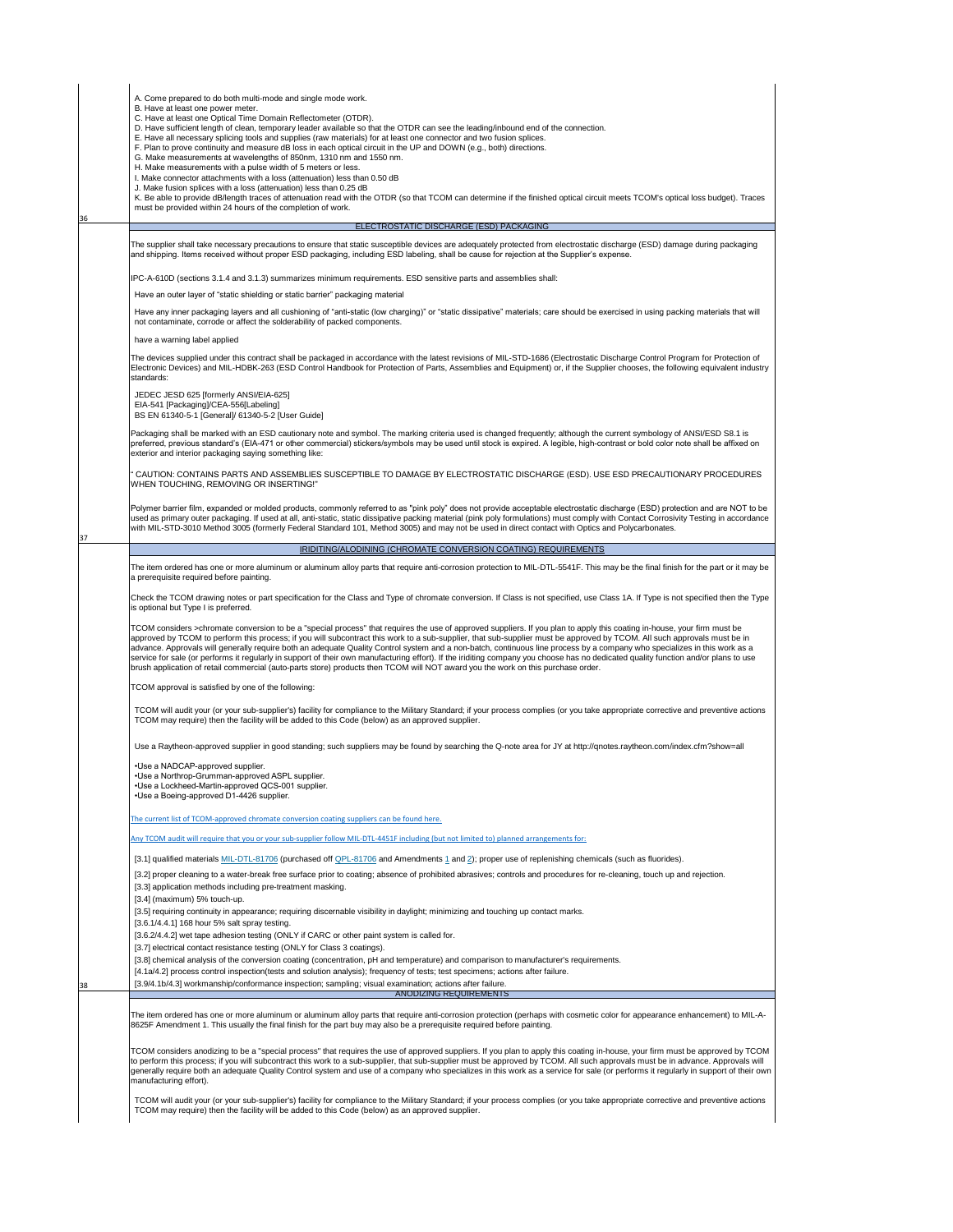37

36

[3.5] requiring continuity in appearance; requiring discernable visibility in daylight; minimizing and touching up contact marks.

" CAUTION: CONTAINS PARTS AND ASSEMBLIES SUSCEPTIBLE TO DAMAGE BY ELECTROSTATIC DISCHARGE (ESD). USE ESD PRECAUTIONARY PROCEDURES WHEN TOUCHING, REMOVING OR INSERTING!"

Polymer barrier film, expanded or molded products, commonly referred to as "pink poly" does not provide acceptable electrostatic discharge (ESD) protection and are NOT to be used as primary outer packaging. If used at all, anti-static, static dissipative packing material (pink poly formulations) must comply with Contact Corrosivity Testing in accordance with MIL-STD-3010 Method 3005 (formerly Federal Standard 101, Method 3005) and may not be used in direct contact with Optics and Polycarbonates.

TCOM will audit your (or your sub-supplier's) facility for compliance to the Military Standard; if your process complies (or you take appropriate corrective and preventive actions TCOM may require) then the facility will be added to this Code (below) as an approved supplier.

38

The item ordered has one or more aluminum or aluminum alloy parts that require anti-corrosion protection to MIL-DTL-5541F. This may be the final finish for the part or it may be a prerequisite required before painting.

Check the TCOM drawing notes or part specification for the Class and Type of chromate conversion. If Class is not specified, use Class 1A. If Type is not specified then the Type is optional but Type I is preferred.

TCOM considers >chromate conversion to be a "special process" that requires the use of approved suppliers. If you plan to apply this coating in-house, your firm must be approved by TCOM to perform this process; if you will subcontract this work to a sub-supplier, that sub-supplier must be approved by TCOM. All such approvals must be in advance. Approvals will generally require both an adequate Quality Control system and a non-batch, continuous line process by a company who specializes in this work as a service for sale (or performs it regularly in support of their own manufacturing effort). If the iriditing company you choose has no dedicated quality function and/or plans to use brush application of retail commercial (auto-parts store) products then TCOM will NOT award you the work on this purchase order.

TCOM approval is satisfied by one of the following:

| A. Come prepared to do both multi-mode and single mode work.                                                                                                                                                                                                                                                                                                                |  |  |  |  |
|-----------------------------------------------------------------------------------------------------------------------------------------------------------------------------------------------------------------------------------------------------------------------------------------------------------------------------------------------------------------------------|--|--|--|--|
| B. Have at least one power meter.                                                                                                                                                                                                                                                                                                                                           |  |  |  |  |
| C. Have at least one Optical Time Domain Reflectometer (OTDR).                                                                                                                                                                                                                                                                                                              |  |  |  |  |
| D. Have sufficient length of clean, temporary leader available so that the OTDR can see the leading/inbound end of the connection.                                                                                                                                                                                                                                          |  |  |  |  |
| E. Have all necessary splicing tools and supplies (raw materials) for at least one connector and two fusion splices.                                                                                                                                                                                                                                                        |  |  |  |  |
| F. Plan to prove continuity and measure dB loss in each optical circuit in the UP and DOWN (e.g., both) directions.                                                                                                                                                                                                                                                         |  |  |  |  |
| G. Make measurements at wavelengths of 850nm, 1310 nm and 1550 nm.                                                                                                                                                                                                                                                                                                          |  |  |  |  |
| H. Make measurements with a pulse width of 5 meters or less.                                                                                                                                                                                                                                                                                                                |  |  |  |  |
| I. Make connector attachments with a loss (attenuation) less than 0.50 dB                                                                                                                                                                                                                                                                                                   |  |  |  |  |
| J. Make fusion splices with a loss (attenuation) less than 0.25 dB                                                                                                                                                                                                                                                                                                          |  |  |  |  |
| K. Be able to provide dB/length traces of attenuation read with the OTDR (so that TCOM can determine if the finished optical circuit meets TCOM's optical loss budget). Traces                                                                                                                                                                                              |  |  |  |  |
| must be provided within 24 hours of the completion of work.                                                                                                                                                                                                                                                                                                                 |  |  |  |  |
|                                                                                                                                                                                                                                                                                                                                                                             |  |  |  |  |
| ELECTROSTATIC DISCHARGE (ESD) PACKAGING                                                                                                                                                                                                                                                                                                                                     |  |  |  |  |
| The supplier shall take necessary precautions to ensure that static susceptible devices are adequately protected from electrostatic discharge (ESD) damage during packaging<br>and shipping. Items received without proper ESD packaging, including ESD labeling, shall be cause for rejection at the Supplier's expense.                                                   |  |  |  |  |
| IPC-A-610D (sections 3.1.4 and 3.1.3) summarizes minimum requirements. ESD sensitive parts and assemblies shall:                                                                                                                                                                                                                                                            |  |  |  |  |
| Have an outer layer of "static shielding or static barrier" packaging material                                                                                                                                                                                                                                                                                              |  |  |  |  |
| Have any inner packaging layers and all cushioning of "anti-static (low charging)" or "static dissipative" materials; care should be exercised in using packing materials that will<br>not contaminate, corrode or affect the solderability of packed components.                                                                                                           |  |  |  |  |
| have a warning label applied                                                                                                                                                                                                                                                                                                                                                |  |  |  |  |
| The devices supplied under this contract shall be packaged in accordance with the latest revisions of MIL-STD-1686 (Electrostatic Discharge Control Program for Protection of<br>Electronic Devices) and MIL-HDBK-263 (ESD Control Handbook for Protection of Parts, Assemblies and Equipment) or, if the Supplier chooses, the following equivalent industry<br>standards: |  |  |  |  |
| JEDEC JESD 625 [formerly ANSI/EIA-625]                                                                                                                                                                                                                                                                                                                                      |  |  |  |  |
| EIA-541 [Packaging]/CEA-556[Labeling]                                                                                                                                                                                                                                                                                                                                       |  |  |  |  |
| BS EN 61340-5-1 [General]/ 61340-5-2 [User Guide]                                                                                                                                                                                                                                                                                                                           |  |  |  |  |
|                                                                                                                                                                                                                                                                                                                                                                             |  |  |  |  |
| Packaging shall be marked with an ESD cautionary note and symbol. The marking criteria used is changed frequently; although the current symbology of ANSI/ESD S8.1 is                                                                                                                                                                                                       |  |  |  |  |
| preferred, previous standard's (EIA-471 or other commercial) stickers/symbols may be used until stock is expired. A legible, high-contrast or bold color note shall be affixed on                                                                                                                                                                                           |  |  |  |  |
| exterior and interior packaging saying something like:                                                                                                                                                                                                                                                                                                                      |  |  |  |  |

Use a Raytheon-approved supplier in good standing; such suppliers may be found by searching the Q-note area for JY at http://qnotes.raytheon.com/index.cfm?show=all

• Use a NADCAP-approved supplier. • Use a Northrop-Grumman-approved ASPL supplier. • Use a Lockheed-Martin-approved QCS-001 supplier. • Use a Boeing-approved D1-4426 supplier.

[The current list of T](http://192.168.2.10/iso9001/Codes and Approved Suppliers/QACodes/Qa codes web/TCOM-Approved Special Process Supplier List, Rev AJ.pdf)COM-approved chromate conversion coating suppliers can be found here.

[Any TCOM audit wi](http://192.168.2.10/iso9001/Codes and Approved Suppliers/QACodes/Qa codes web/MIL-DTL-5541F.pdf)ll require that you or your sub-supplier follow MIL-DTL-4451F including (but not limited to) planned arrangements for:

[3.1] qualified materials MIL-DTL-81706 (purchased off QPL-81706 and Amendments 1 and 2); proper use of replenishing chemicals (such as fluorides).

[3.2] proper cleaning to a water-break free surface prior to coating; absence of prohibited abrasives; controls and procedures for re-cleaning, touch up and rejection.

[3.3] application methods including pre-treatment masking.

[3.4] (maximum) 5% touch-up.

### IRIDITING/ALODINING (CHROMATE CONVERSION COATING) REQUIREMENTS

| [3.6.1/4.4.1] 168 hour 5% salt spray testing.                                                                                                                                                                                                                                                                                                                                                                                                                                                                                                                                      |
|------------------------------------------------------------------------------------------------------------------------------------------------------------------------------------------------------------------------------------------------------------------------------------------------------------------------------------------------------------------------------------------------------------------------------------------------------------------------------------------------------------------------------------------------------------------------------------|
| [3.6.2/4.4.2] wet tape adhesion testing (ONLY if CARC or other paint system is called for.                                                                                                                                                                                                                                                                                                                                                                                                                                                                                         |
| [3.7] electrical contact resistance testing (ONLY for Class 3 coatings).                                                                                                                                                                                                                                                                                                                                                                                                                                                                                                           |
| [3.8] chemical analysis of the conversion coating (concentration, pH and temperature) and comparison to manufacturer's requirements.                                                                                                                                                                                                                                                                                                                                                                                                                                               |
| [4.1a/4.2] process control inspection(tests and solution analysis); frequency of tests; test specimens; actions after failure.                                                                                                                                                                                                                                                                                                                                                                                                                                                     |
| [3.9/4.1b/4.3] workmanship/conformance inspection; sampling; visual examination; actions after failure.                                                                                                                                                                                                                                                                                                                                                                                                                                                                            |
| <b>ANODIZING REQUIREMENTS</b>                                                                                                                                                                                                                                                                                                                                                                                                                                                                                                                                                      |
| 8625F Amendment 1. This usually the final finish for the part buy may also be a prerequisite required before painting.                                                                                                                                                                                                                                                                                                                                                                                                                                                             |
| TCOM considers anodizing to be a "special process" that requires the use of approved suppliers. If you plan to apply this coating in-house, your firm must be approved by TCOM<br>to perform this process; if you will subcontract this work to a sub-supplier, that sub-supplier must be approved by TCOM. All such approvals must be in advance. Approvals will<br>generally require both an adequate Quality Control system and use of a company who specializes in this work as a service for sale (or performs it regularly in support of their own<br>manufacturing effort). |
| TCOM will audit your (or your sub-supplier's) facility for compliance to the Military Standard; if your process complies (or you take appropriate corrective and preventive actions<br>TCOM may require) then the facility will be added to this Code (below) as an approved supplier.                                                                                                                                                                                                                                                                                             |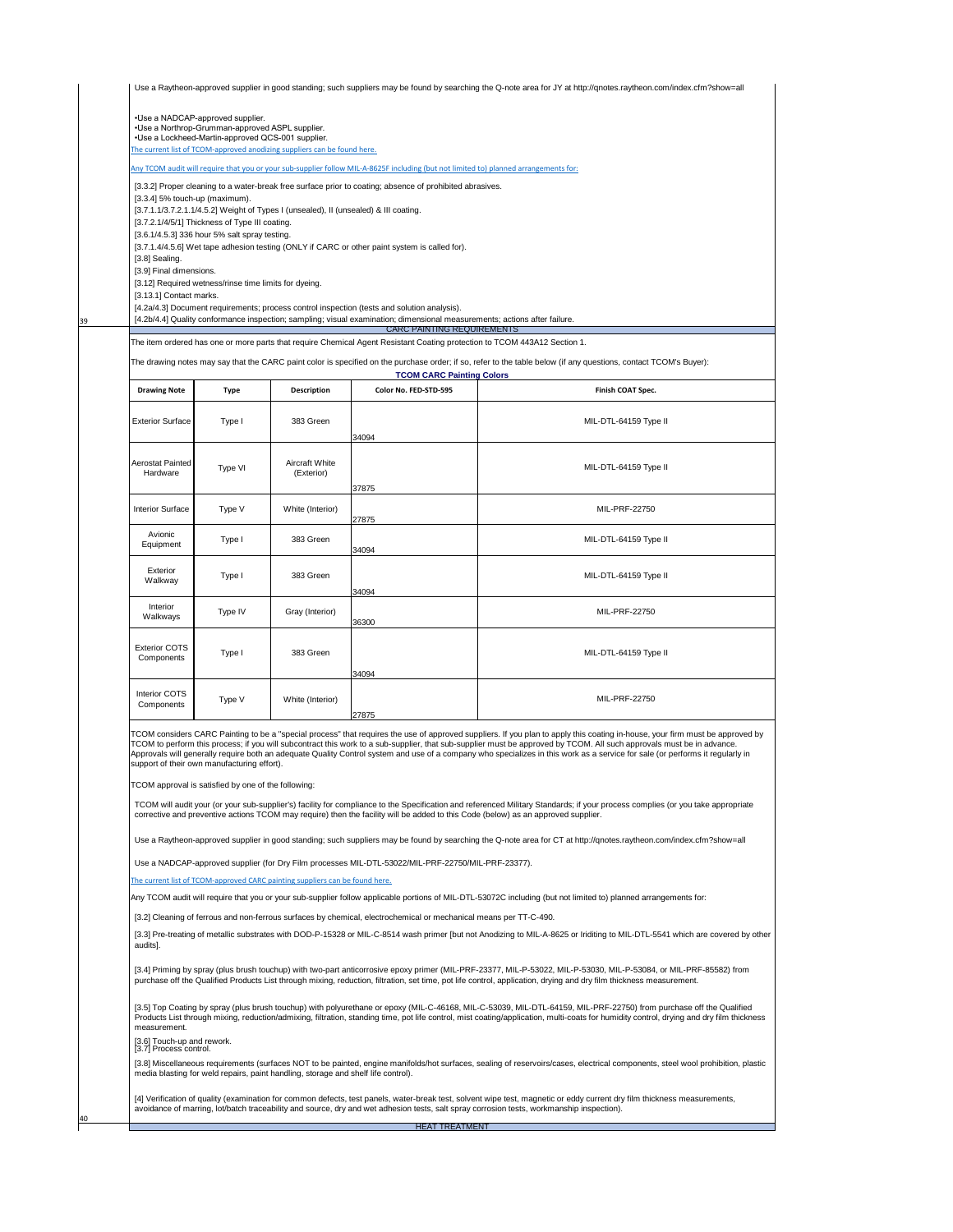TCOM considers CARC Painting to be a "special process" that requires the use of approved suppliers. If you plan to apply this coating in-house, your firm must be approved by TCOM to perform this process; if you will subcontract this work to a sub-supplier, that sub-supplier must be approved by TCOM. All such approvals must be in advance. Approvals will generally require both an adequate Quality Control system and use of a company who specializes in this work as a service for sale (or performs it regularly in support of their own manufacturing effort).

40

39

|                                                                                                                                                                                                                                                                                                                                                                                                                                                                                                                                                                                                                                                                                                                                                                                                                                                                                                                                                                                                                                                                                                                  |             |                                                                          |                                  | Use a Raytheon-approved supplier in good standing; such suppliers may be found by searching the Q-note area for JY at http://qnotes.raytheon.com/index.cfm?show=all |
|------------------------------------------------------------------------------------------------------------------------------------------------------------------------------------------------------------------------------------------------------------------------------------------------------------------------------------------------------------------------------------------------------------------------------------------------------------------------------------------------------------------------------------------------------------------------------------------------------------------------------------------------------------------------------------------------------------------------------------------------------------------------------------------------------------------------------------------------------------------------------------------------------------------------------------------------------------------------------------------------------------------------------------------------------------------------------------------------------------------|-------------|--------------------------------------------------------------------------|----------------------------------|---------------------------------------------------------------------------------------------------------------------------------------------------------------------|
| •Use a NADCAP-approved supplier.<br>• Use a Northrop-Grumman-approved ASPL supplier.<br>•Use a Lockheed-Martin-approved QCS-001 supplier.                                                                                                                                                                                                                                                                                                                                                                                                                                                                                                                                                                                                                                                                                                                                                                                                                                                                                                                                                                        |             | The current list of TCOM-approved anodizing suppliers can be found here. |                                  |                                                                                                                                                                     |
|                                                                                                                                                                                                                                                                                                                                                                                                                                                                                                                                                                                                                                                                                                                                                                                                                                                                                                                                                                                                                                                                                                                  |             |                                                                          |                                  |                                                                                                                                                                     |
| Any TCOM audit will require that you or your sub-supplier follow MIL-A-8625F including (but not limited to) planned arrangements for:<br>[3.3.2] Proper cleaning to a water-break free surface prior to coating; absence of prohibited abrasives.<br>$[3.3.4]$ 5% touch-up (maximum).<br>[3.7.1.1/3.7.2.1.1/4.5.2] Weight of Types I (unsealed), II (unsealed) & III coating.<br>[3.7.2.1/4/5/1] Thickness of Type III coating.<br>[3.6.1/4.5.3] 336 hour 5% salt spray testing.<br>[3.7.1.4/4.5.6] Wet tape adhesion testing (ONLY if CARC or other paint system is called for).<br>[3.8] Sealing.<br>[3.9] Final dimensions.<br>[3.12] Required wetness/rinse time limits for dyeing.<br>[3.13.1] Contact marks.<br>[4.2a/4.3] Document requirements; process control inspection (tests and solution analysis).<br>[4.2b/4.4] Quality conformance inspection; sampling; visual examination; dimensional measurements; actions after failure.<br><b>CARC PAINTING REQUIREMENTS</b><br>The item ordered has one or more parts that require Chemical Agent Resistant Coating protection to TCOM 443A12 Section 1. |             |                                                                          |                                  |                                                                                                                                                                     |
|                                                                                                                                                                                                                                                                                                                                                                                                                                                                                                                                                                                                                                                                                                                                                                                                                                                                                                                                                                                                                                                                                                                  |             |                                                                          | <b>TCOM CARC Painting Colors</b> | The drawing notes may say that the CARC paint color is specified on the purchase order; if so, refer to the table below (if any questions, contact TCOM's Buyer):   |
| <b>Drawing Note</b>                                                                                                                                                                                                                                                                                                                                                                                                                                                                                                                                                                                                                                                                                                                                                                                                                                                                                                                                                                                                                                                                                              | <b>Type</b> | <b>Description</b>                                                       | <b>Color No. FED-STD-595</b>     | <b>Finish COAT Spec.</b>                                                                                                                                            |
| <b>Exterior Surface</b>                                                                                                                                                                                                                                                                                                                                                                                                                                                                                                                                                                                                                                                                                                                                                                                                                                                                                                                                                                                                                                                                                          | Type I      | 383 Green                                                                | 34094                            | MIL-DTL-64159 Type II                                                                                                                                               |
| <b>Aerostat Painted</b><br>Hardware                                                                                                                                                                                                                                                                                                                                                                                                                                                                                                                                                                                                                                                                                                                                                                                                                                                                                                                                                                                                                                                                              | Type VI     | <b>Aircraft White</b><br>(Exterior)                                      |                                  | MIL-DTL-64159 Type II                                                                                                                                               |
| <b>Interior Surface</b>                                                                                                                                                                                                                                                                                                                                                                                                                                                                                                                                                                                                                                                                                                                                                                                                                                                                                                                                                                                                                                                                                          | Type V      | White (Interior)                                                         | 37875<br>27875                   | <b>MIL-PRF-22750</b>                                                                                                                                                |
| Avionic<br>Equipment                                                                                                                                                                                                                                                                                                                                                                                                                                                                                                                                                                                                                                                                                                                                                                                                                                                                                                                                                                                                                                                                                             | Type I      | 383 Green                                                                | 34094                            | MIL-DTL-64159 Type II                                                                                                                                               |
| <b>Exterior</b><br>Walkway                                                                                                                                                                                                                                                                                                                                                                                                                                                                                                                                                                                                                                                                                                                                                                                                                                                                                                                                                                                                                                                                                       | Type I      | 383 Green                                                                | 34094                            | MIL-DTL-64159 Type II                                                                                                                                               |
| <b>Interior</b><br>Walkways                                                                                                                                                                                                                                                                                                                                                                                                                                                                                                                                                                                                                                                                                                                                                                                                                                                                                                                                                                                                                                                                                      | Type IV     | Gray (Interior)                                                          | 36300                            | <b>MIL-PRF-22750</b>                                                                                                                                                |
| <b>Exterior COTS</b><br>Components                                                                                                                                                                                                                                                                                                                                                                                                                                                                                                                                                                                                                                                                                                                                                                                                                                                                                                                                                                                                                                                                               | Type I      | 383 Green                                                                | 34094                            | MIL-DTL-64159 Type II                                                                                                                                               |
| <b>Interior COTS</b><br><b>Components</b>                                                                                                                                                                                                                                                                                                                                                                                                                                                                                                                                                                                                                                                                                                                                                                                                                                                                                                                                                                                                                                                                        | Type V      | White (Interior)                                                         | 27875                            | <b>MIL-PRF-22750</b>                                                                                                                                                |

Use a NADCAP-approved supplier (for Dry Film processes MIL-DTL-53022/MIL-PRF-22750/MIL-PRF-23377).

[The current list of T](http://192.168.2.10/iso9001/Codes and Approved Suppliers/QACodes/Qa codes web/TCOM-Approved Special Process Supplier List, Rev AJ.pdf)COM-approved CARC painting suppliers can be found here.

Any TCOM audit will require that you or your sub-supplier follow applicable portions of MIL-DTL-53072C including (but not limited to) planned arrangements for:

[3.2] Cleaning of ferrous and non-ferrous surfaces by chemical, electrochemical or mechanical means per TT-C-490.

| [3.5] Top Coating by spray (plus brush touchup) with polyurethane or epoxy (MIL-C-46168, MIL-C-53039, MIL-DTL-64159, MIL-PRF-22750) from purchase off the Qualified<br>Products List through mixing, reduction/admixing, filtration, standing time, pot life control, mist coating/application, multi-coats for humidity control, drying and dry film thickness<br>measurement.<br>[3.6] Touch-up and rework.<br>[3.7] Process control.<br>[3.8] Miscellaneous requirements (surfaces NOT to be painted, engine manifolds/hot surfaces, sealing of reservoirs/cases, electrical components, steel wool prohibition, plastic<br>media blasting for weld repairs, paint handling, storage and shelf life control).<br>[4] Verification of quality (examination for common defects, test panels, water-break test, solvent wipe test, magnetic or eddy current dry film thickness measurements,<br>avoidance of marring, lot/batch traceability and source, dry and wet adhesion tests, salt spray corrosion tests, workmanship inspection). |
|-------------------------------------------------------------------------------------------------------------------------------------------------------------------------------------------------------------------------------------------------------------------------------------------------------------------------------------------------------------------------------------------------------------------------------------------------------------------------------------------------------------------------------------------------------------------------------------------------------------------------------------------------------------------------------------------------------------------------------------------------------------------------------------------------------------------------------------------------------------------------------------------------------------------------------------------------------------------------------------------------------------------------------------------|
|                                                                                                                                                                                                                                                                                                                                                                                                                                                                                                                                                                                                                                                                                                                                                                                                                                                                                                                                                                                                                                           |
|                                                                                                                                                                                                                                                                                                                                                                                                                                                                                                                                                                                                                                                                                                                                                                                                                                                                                                                                                                                                                                           |
|                                                                                                                                                                                                                                                                                                                                                                                                                                                                                                                                                                                                                                                                                                                                                                                                                                                                                                                                                                                                                                           |
|                                                                                                                                                                                                                                                                                                                                                                                                                                                                                                                                                                                                                                                                                                                                                                                                                                                                                                                                                                                                                                           |
| [3.4] Priming by spray (plus brush touchup) with two-part anticorrosive epoxy primer (MIL-PRF-23377, MIL-P-53022, MIL-P-53030, MIL-P-53084, or MIL-PRF-85582) from<br>purchase off the Qualified Products List through mixing, reduction, filtration, set time, pot life control, application, drying and dry film thickness measurement.                                                                                                                                                                                                                                                                                                                                                                                                                                                                                                                                                                                                                                                                                                 |
| [3.3] Pre-treating of metallic substrates with DOD-P-15328 or MIL-C-8514 wash primer [but not Anodizing to MIL-A-8625 or Iriditing to MIL-DTL-5541 which are covered by other<br>audits].                                                                                                                                                                                                                                                                                                                                                                                                                                                                                                                                                                                                                                                                                                                                                                                                                                                 |
|                                                                                                                                                                                                                                                                                                                                                                                                                                                                                                                                                                                                                                                                                                                                                                                                                                                                                                                                                                                                                                           |

TCOM approval is satisfied by one of the following:

TCOM will audit your (or your sub-supplier's) facility for compliance to the Specification and referenced Military Standards; if your process complies (or you take appropriate corrective and preventive actions TCOM may require) then the facility will be added to this Code (below) as an approved supplier.

Use a Raytheon-approved supplier in good standing; such suppliers may be found by searching the Q-note area for CT at http://qnotes.raytheon.com/index.cfm?show=all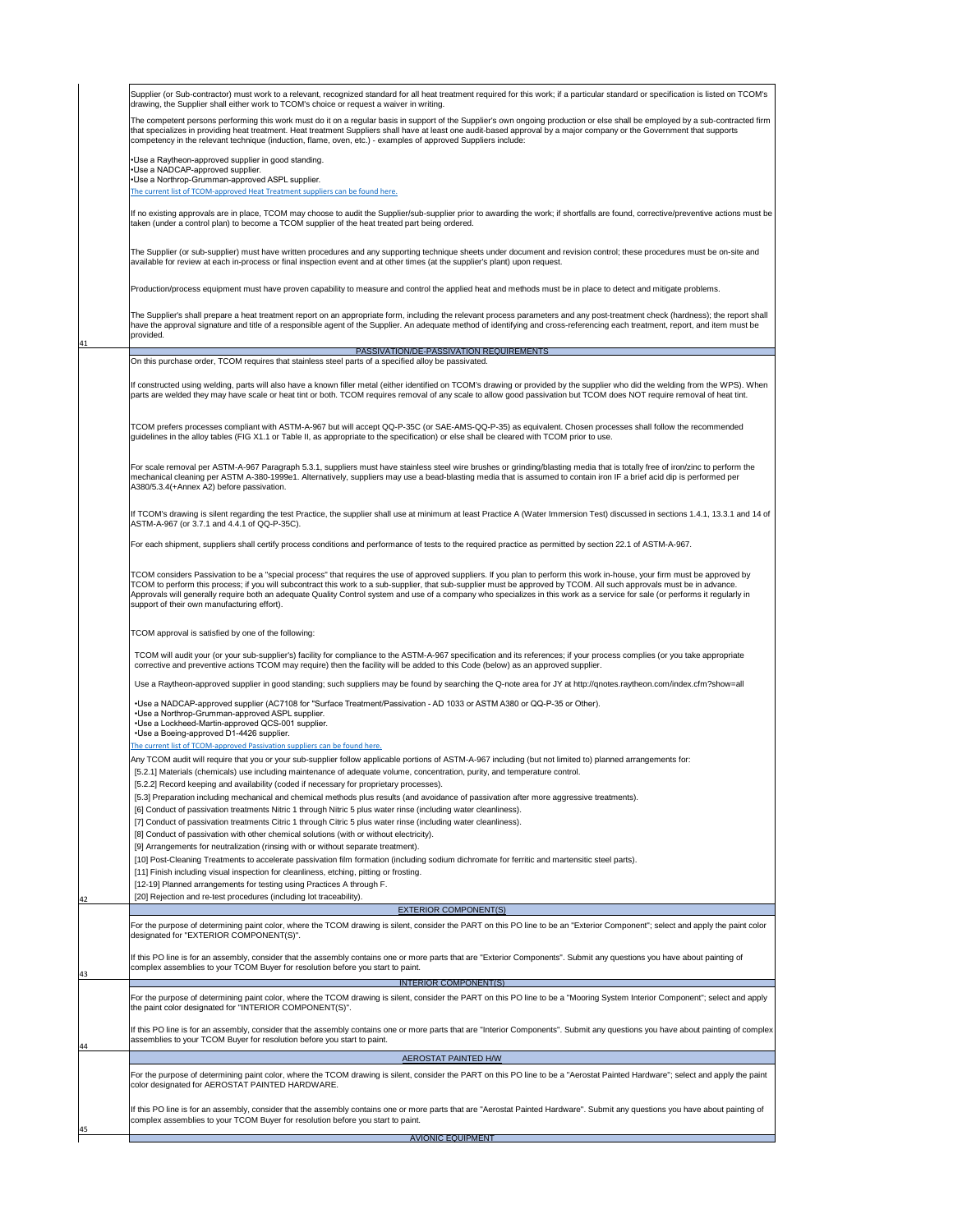41

42

If TCOM's drawing is silent regarding the test Practice, the supplier shall use at minimum at least Practice A (Water Immersion Test) discussed in sections 1.4.1, 13.3.1 and 14 of ASTM-A-967 (or 3.7.1 and 4.4.1 of QQ-P-35C).

For scale removal per ASTM-A-967 Paragraph 5.3.1, suppliers must have stainless steel wire brushes or grinding/blasting media that is totally free of iron/zinc to perform the mechanical cleaning per ASTM A-380-1999e1. Alternatively, suppliers may use a bead-blasting media that is assumed to contain iron IF a brief acid dip is performed per A380/5.3.4(+Annex A2) before passivation.

For each shipment, suppliers shall certify process conditions and performance of tests to the required practice as permitted by section 22.1 of ASTM-A-967.

TCOM considers Passivation to be a "special process" that requires the use of approved suppliers. If you plan to perform this work in-house, your firm must be approved by TCOM to perform this process; if you will subcontract this work to a sub-supplier, that sub-supplier must be approved by TCOM. All such approvals must be in advance. Approvals will generally require both an adequate Quality Control system and use of a company who specializes in this work as a service for sale (or performs it regularly in support of their own manufacturing effort).

|    | For the purpose of determining paint color, where the TCOM drawing is silent, consider the PART on this PO line to be an "Exterior Component"; select and apply the paint color<br>designated for "EXTERIOR COMPONENT(S)".                                         |
|----|--------------------------------------------------------------------------------------------------------------------------------------------------------------------------------------------------------------------------------------------------------------------|
| 43 | If this PO line is for an assembly, consider that the assembly contains one or more parts that are "Exterior Components". Submit any questions you have about painting of<br>complex assemblies to your TCOM Buyer for resolution before you start to paint.       |
|    | <b>INTERIOR COMPONENT(S)</b>                                                                                                                                                                                                                                       |
|    | For the purpose of determining paint color, where the TCOM drawing is silent, consider the PART on this PO line to be a "Mooring System Interior Component"; select and apply<br>the paint color designated for "INTERIOR COMPONENT(S)".                           |
| 44 | If this PO line is for an assembly, consider that the assembly contains one or more parts that are "Interior Components". Submit any questions you have about painting of complex<br>assemblies to your TCOM Buyer for resolution before you start to paint.       |
|    | <b>AEROSTAT PAINTED H/W</b>                                                                                                                                                                                                                                        |
|    | For the purpose of determining paint color, where the TCOM drawing is silent, consider the PART on this PO line to be a "Aerostat Painted Hardware"; select and apply the paint<br>color designated for AEROSTAT PAINTED HARDWARE.                                 |
| 45 | If this PO line is for an assembly, consider that the assembly contains one or more parts that are "Aerostat Painted Hardware". Submit any questions you have about painting of<br>complex assemblies to your TCOM Buyer for resolution before you start to paint. |
|    | <b>AVIONIC EQUIPMENT</b>                                                                                                                                                                                                                                           |

TCOM approval is satisfied by one of the following:

|           | Supplier (or Sub-contractor) must work to a relevant, recognized standard for all heat treatment required for this work; if a particular standard or specification is listed on TCOM's<br>drawing, the Supplier shall either work to TCOM's choice or request a waiver in writing.                                                                                                                                                                                         |
|-----------|----------------------------------------------------------------------------------------------------------------------------------------------------------------------------------------------------------------------------------------------------------------------------------------------------------------------------------------------------------------------------------------------------------------------------------------------------------------------------|
|           | The competent persons performing this work must do it on a regular basis in support of the Supplier's own ongoing production or else shall be employed by a sub-contracted firm<br>that specializes in providing heat treatment. Heat treatment Suppliers shall have at least one audit-based approval by a major company or the Government that supports<br>competency in the relevant technique (induction, flame, oven, etc.) - examples of approved Suppliers include: |
|           | • Use a Raytheon-approved supplier in good standing.<br>•Use a NADCAP-approved supplier.                                                                                                                                                                                                                                                                                                                                                                                   |
|           | • Use a Northrop-Grumman-approved ASPL supplier.                                                                                                                                                                                                                                                                                                                                                                                                                           |
|           | The current list of TCOM-approved Heat Treatment suppliers can be found here.                                                                                                                                                                                                                                                                                                                                                                                              |
|           | If no existing approvals are in place, TCOM may choose to audit the Supplier/sub-supplier prior to awarding the work; if shortfalls are found, corrective/preventive actions must be<br>taken (under a control plan) to become a TCOM supplier of the heat treated part being ordered.                                                                                                                                                                                     |
|           | The Supplier (or sub-supplier) must have written procedures and any supporting technique sheets under document and revision control; these procedures must be on-site and<br>available for review at each in-process or final inspection event and at other times (at the supplier's plant) upon request.                                                                                                                                                                  |
|           | Production/process equipment must have proven capability to measure and control the applied heat and methods must be in place to detect and mitigate problems.                                                                                                                                                                                                                                                                                                             |
| provided. | The Supplier's shall prepare a heat treatment report on an appropriate form, including the relevant process parameters and any post-treatment check (hardness); the report shall<br>have the approval signature and title of a responsible agent of the Supplier. An adequate method of identifying and cross-referencing each treatment, report, and item must be                                                                                                         |
|           | PASSIVATION/DE-PASSIVATION REQUIREMENTS                                                                                                                                                                                                                                                                                                                                                                                                                                    |
|           | On this purchase order, TCOM requires that stainless steel parts of a specified alloy be passivated.                                                                                                                                                                                                                                                                                                                                                                       |
|           | If constructed using welding, parts will also have a known filler metal (either identified on TCOM's drawing or provided by the supplier who did the welding from the WPS). When<br>parts are welded they may have scale or heat tint or both. TCOM requires removal of any scale to allow good passivation but TCOM does NOT require removal of heat tint.                                                                                                                |
|           | TCOM prefers processes compliant with ASTM-A-967 but will accept QQ-P-35C (or SAE-AMS-QQ-P-35) as equivalent. Chosen processes shall follow the recommended<br>guidelines in the alloy tables (FIG X1.1 or Table II, as appropriate to the specification) or else shall be cleared with TCOM prior to use.                                                                                                                                                                 |

[20] Rejection and re-test procedures (including lot traceability). EXTERIOR COMPONENT(S) [8] Conduct of passivation with other chemical solutions (with or without electricity). [9] Arrangements for neutralization (rinsing with or without separate treatment). [10] Post-Cleaning Treatments to accelerate passivation film formation (including sodium dichromate for ferritic and martensitic steel parts). [11] Finish including visual inspection for cleanliness, etching, pitting or frosting. [12-19] Planned arrangements for testing using Practices A through F. • Use a NADCAP-approved supplier (AC7108 for "Surface Treatment/Passivation - AD 1033 or ASTM A380 or QQ-P-35 or Other). • Use a Northrop-Grumman-approved ASPL supplier. • Use a Lockheed-Martin-approved QCS-001 supplier. • Use a Boeing-approved D1-4426 supplier. [The current list of T](http://192.168.2.10/iso9001/Codes and Approved Suppliers/QACodes/Qa codes web/TCOM-Approved Special Process Supplier List, Rev AJ.pdf)COM-approved Passivation suppliers can be found here. Any TCOM audit will require that you or your sub-supplier follow applicable portions of ASTM-A-967 including (but not limited to) planned arrangements for: [5.2.1] Materials (chemicals) use including maintenance of adequate volume, concentration, purity, and temperature control. [5.2.2] Record keeping and availability (coded if necessary for proprietary processes). [5.3] Preparation including mechanical and chemical methods plus results (and avoidance of passivation after more aggressive treatments). [6] Conduct of passivation treatments Nitric 1 through Nitric 5 plus water rinse (including water cleanliness). [7] Conduct of passivation treatments Citric 1 through Citric 5 plus water rinse (including water cleanliness).

TCOM will audit your (or your sub-supplier's) facility for compliance to the ASTM-A-967 specification and its references; if your process complies (or you take appropriate corrective and preventive actions TCOM may require) then the facility will be added to this Code (below) as an approved supplier.

Use a Raytheon-approved supplier in good standing; such suppliers may be found by searching the Q-note area for JY at http://qnotes.raytheon.com/index.cfm?show=all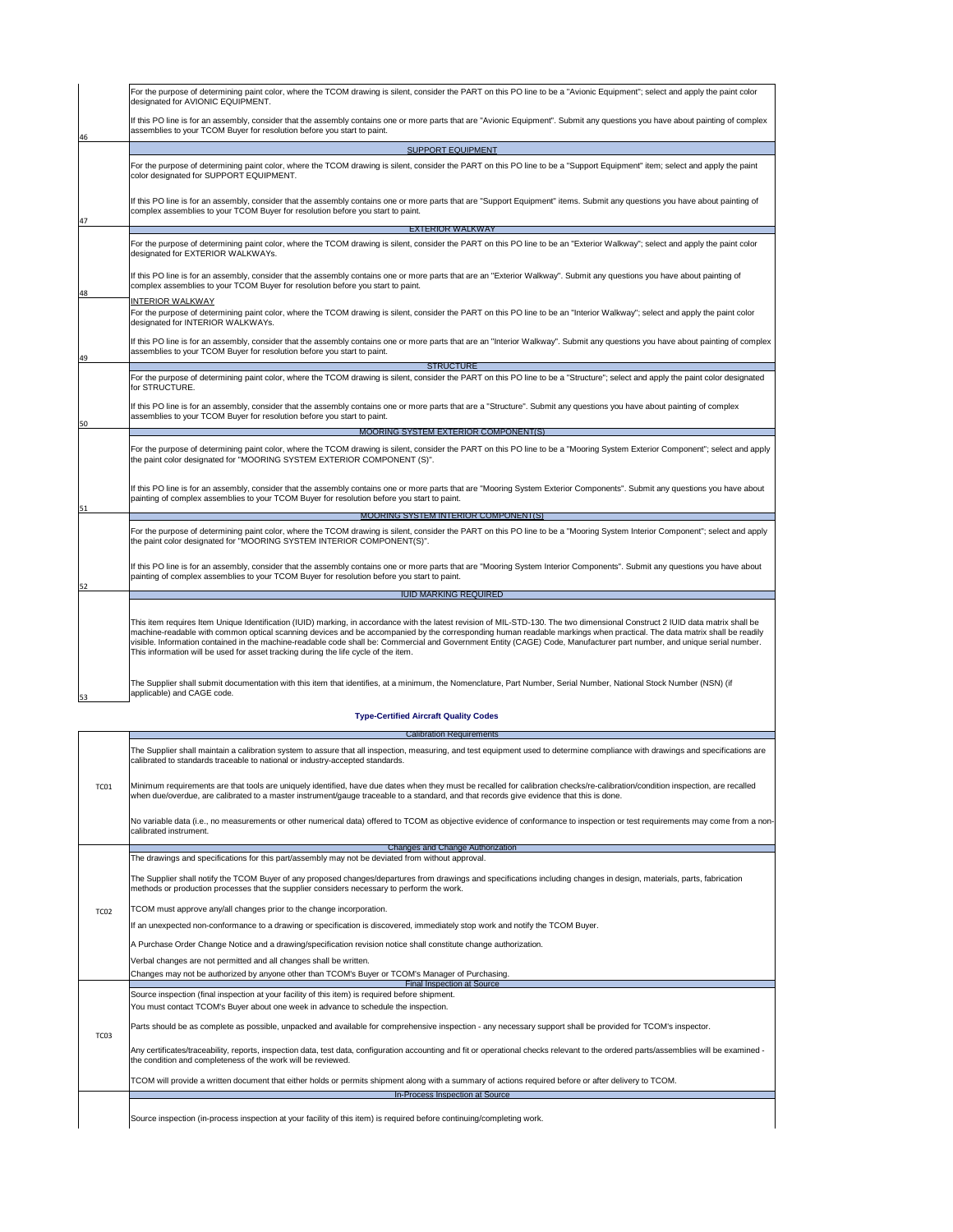|                                                                                                                                                                                         | If an unexpected non-conformance to a drawing or specification is discovered, immediately stop work and notify the TCOM Buyer.                                                                                                                         |  |  |  |  |  |                                                                                                  |  |
|-----------------------------------------------------------------------------------------------------------------------------------------------------------------------------------------|--------------------------------------------------------------------------------------------------------------------------------------------------------------------------------------------------------------------------------------------------------|--|--|--|--|--|--------------------------------------------------------------------------------------------------|--|
| A Purchase Order Change Notice and a drawing/specification revision notice shall constitute change authorization.<br>Verbal changes are not permitted and all changes shall be written. |                                                                                                                                                                                                                                                        |  |  |  |  |  |                                                                                                  |  |
|                                                                                                                                                                                         |                                                                                                                                                                                                                                                        |  |  |  |  |  | Changes may not be authorized by anyone other than TCOM's Buyer or TCOM's Manager of Purchasing. |  |
|                                                                                                                                                                                         | <b>Final Inspection at Source</b>                                                                                                                                                                                                                      |  |  |  |  |  |                                                                                                  |  |
| TC <sub>03</sub>                                                                                                                                                                        | Source inspection (final inspection at your facility of this item) is required before shipment.                                                                                                                                                        |  |  |  |  |  |                                                                                                  |  |
|                                                                                                                                                                                         | You must contact TCOM's Buyer about one week in advance to schedule the inspection.                                                                                                                                                                    |  |  |  |  |  |                                                                                                  |  |
|                                                                                                                                                                                         | Parts should be as complete as possible, unpacked and available for comprehensive inspection - any necessary support shall be provided for TCOM's inspector.                                                                                           |  |  |  |  |  |                                                                                                  |  |
|                                                                                                                                                                                         | Any certificates/traceability, reports, inspection data, test data, configuration accounting and fit or operational checks relevant to the ordered parts/assemblies will be examined -<br>the condition and completeness of the work will be reviewed. |  |  |  |  |  |                                                                                                  |  |
|                                                                                                                                                                                         | TCOM will provide a written document that either holds or permits shipment along with a summary of actions required before or after delivery to TCOM.                                                                                                  |  |  |  |  |  |                                                                                                  |  |
|                                                                                                                                                                                         | <b>In-Process Inspection at Source</b>                                                                                                                                                                                                                 |  |  |  |  |  |                                                                                                  |  |

|                                                                                                                                                                                                                                                              | For the purpose of determining paint color, where the TCOM drawing is silent, consider the PART on this PO line to be a "Avionic Equipment"; select and apply the paint color<br>designated for AVIONIC EQUIPMENT.                                                                                                                                                                                                                                                                                                                                                                                                         |  |  |  |  |  |
|--------------------------------------------------------------------------------------------------------------------------------------------------------------------------------------------------------------------------------------------------------------|----------------------------------------------------------------------------------------------------------------------------------------------------------------------------------------------------------------------------------------------------------------------------------------------------------------------------------------------------------------------------------------------------------------------------------------------------------------------------------------------------------------------------------------------------------------------------------------------------------------------------|--|--|--|--|--|
| 46                                                                                                                                                                                                                                                           | If this PO line is for an assembly, consider that the assembly contains one or more parts that are "Avionic Equipment". Submit any questions you have about painting of complex<br>assemblies to your TCOM Buyer for resolution before you start to paint.                                                                                                                                                                                                                                                                                                                                                                 |  |  |  |  |  |
|                                                                                                                                                                                                                                                              | <b>SUPPORT EQUIPMENT</b>                                                                                                                                                                                                                                                                                                                                                                                                                                                                                                                                                                                                   |  |  |  |  |  |
|                                                                                                                                                                                                                                                              | For the purpose of determining paint color, where the TCOM drawing is silent, consider the PART on this PO line to be a "Support Equipment" item; select and apply the paint<br>color designated for SUPPORT EQUIPMENT.                                                                                                                                                                                                                                                                                                                                                                                                    |  |  |  |  |  |
| 47                                                                                                                                                                                                                                                           | If this PO line is for an assembly, consider that the assembly contains one or more parts that are "Support Equipment" items. Submit any questions you have about painting of<br>complex assemblies to your TCOM Buyer for resolution before you start to paint.                                                                                                                                                                                                                                                                                                                                                           |  |  |  |  |  |
|                                                                                                                                                                                                                                                              | <b>EXTERIOR WALKWAY</b>                                                                                                                                                                                                                                                                                                                                                                                                                                                                                                                                                                                                    |  |  |  |  |  |
|                                                                                                                                                                                                                                                              | For the purpose of determining paint color, where the TCOM drawing is silent, consider the PART on this PO line to be an "Exterior Walkway"; select and apply the paint color<br>designated for EXTERIOR WALKWAYs.                                                                                                                                                                                                                                                                                                                                                                                                         |  |  |  |  |  |
| 48                                                                                                                                                                                                                                                           | If this PO line is for an assembly, consider that the assembly contains one or more parts that are an "Exterior Walkway". Submit any questions you have about painting of<br>complex assemblies to your TCOM Buyer for resolution before you start to paint.                                                                                                                                                                                                                                                                                                                                                               |  |  |  |  |  |
|                                                                                                                                                                                                                                                              | <b>INTERIOR WALKWAY</b><br>For the purpose of determining paint color, where the TCOM drawing is silent, consider the PART on this PO line to be an "Interior Walkway"; select and apply the paint color<br>designated for INTERIOR WALKWAYs.                                                                                                                                                                                                                                                                                                                                                                              |  |  |  |  |  |
| If this PO line is for an assembly, consider that the assembly contains one or more parts that are an "Interior Walkway". Submit any questions you have about painting of complex<br>assemblies to your TCOM Buyer for resolution before you start to paint. |                                                                                                                                                                                                                                                                                                                                                                                                                                                                                                                                                                                                                            |  |  |  |  |  |
| 49<br><b>STRUCTURE</b>                                                                                                                                                                                                                                       |                                                                                                                                                                                                                                                                                                                                                                                                                                                                                                                                                                                                                            |  |  |  |  |  |
|                                                                                                                                                                                                                                                              | For the purpose of determining paint color, where the TCOM drawing is silent, consider the PART on this PO line to be a "Structure"; select and apply the paint color designated<br>for STRUCTURE.                                                                                                                                                                                                                                                                                                                                                                                                                         |  |  |  |  |  |
| 50                                                                                                                                                                                                                                                           | If this PO line is for an assembly, consider that the assembly contains one or more parts that are a "Structure". Submit any questions you have about painting of complex<br>assemblies to your TCOM Buyer for resolution before you start to paint.                                                                                                                                                                                                                                                                                                                                                                       |  |  |  |  |  |
|                                                                                                                                                                                                                                                              | <b>MOORING SYSTEM EXTERIOR COMPONENT(S)</b>                                                                                                                                                                                                                                                                                                                                                                                                                                                                                                                                                                                |  |  |  |  |  |
|                                                                                                                                                                                                                                                              | For the purpose of determining paint color, where the TCOM drawing is silent, consider the PART on this PO line to be a "Mooring System Exterior Component"; select and apply<br>the paint color designated for "MOORING SYSTEM EXTERIOR COMPONENT (S)".                                                                                                                                                                                                                                                                                                                                                                   |  |  |  |  |  |
| 51                                                                                                                                                                                                                                                           | If this PO line is for an assembly, consider that the assembly contains one or more parts that are "Mooring System Exterior Components". Submit any questions you have about<br>painting of complex assemblies to your TCOM Buyer for resolution before you start to paint.                                                                                                                                                                                                                                                                                                                                                |  |  |  |  |  |
|                                                                                                                                                                                                                                                              | <b>MOORING SYSTEM INTERIOR COMPONENT(S)</b>                                                                                                                                                                                                                                                                                                                                                                                                                                                                                                                                                                                |  |  |  |  |  |
|                                                                                                                                                                                                                                                              | For the purpose of determining paint color, where the TCOM drawing is silent, consider the PART on this PO line to be a "Mooring System Interior Component"; select and apply<br>the paint color designated for "MOORING SYSTEM INTERIOR COMPONENT(S)".                                                                                                                                                                                                                                                                                                                                                                    |  |  |  |  |  |
| 52                                                                                                                                                                                                                                                           | If this PO line is for an assembly, consider that the assembly contains one or more parts that are "Mooring System Interior Components". Submit any questions you have about<br>painting of complex assemblies to your TCOM Buyer for resolution before you start to paint.                                                                                                                                                                                                                                                                                                                                                |  |  |  |  |  |
|                                                                                                                                                                                                                                                              | <b>IUID MARKING REQUIRED</b>                                                                                                                                                                                                                                                                                                                                                                                                                                                                                                                                                                                               |  |  |  |  |  |
|                                                                                                                                                                                                                                                              | This item requires Item Unique Identification (IUID) marking, in accordance with the latest revision of MIL-STD-130. The two dimensional Construct 2 IUID data matrix shall be<br>machine-readable with common optical scanning devices and be accompanied by the corresponding human readable markings when practical. The data matrix shall be readily<br>visible. Information contained in the machine-readable code shall be: Commercial and Government Entity (CAGE) Code, Manufacturer part number, and unique serial number.<br>This information will be used for asset tracking during the life cycle of the item. |  |  |  |  |  |
| 53                                                                                                                                                                                                                                                           | The Supplier shall submit documentation with this item that identifies, at a minimum, the Nomenclature, Part Number, Serial Number, National Stock Number (NSN) (if<br>applicable) and CAGE code.                                                                                                                                                                                                                                                                                                                                                                                                                          |  |  |  |  |  |

## **Type-Certified Aircraft Quality Codes**

|                                         | <b>Calibration Requirements</b>                                                                                                                                                                                                                                                                                             |  |  |  |  |
|-----------------------------------------|-----------------------------------------------------------------------------------------------------------------------------------------------------------------------------------------------------------------------------------------------------------------------------------------------------------------------------|--|--|--|--|
|                                         | The Supplier shall maintain a calibration system to assure that all inspection, measuring, and test equipment used to determine compliance with drawings and specifications are<br>calibrated to standards traceable to national or industry-accepted standards.                                                            |  |  |  |  |
| TC01                                    | Minimum requirements are that tools are uniquely identified, have due dates when they must be recalled for calibration checks/re-calibration/condition inspection, are recalled<br>when due/overdue, are calibrated to a master instrument/gauge traceable to a standard, and that records give evidence that this is done. |  |  |  |  |
|                                         | No variable data (i.e., no measurements or other numerical data) offered to TCOM as objective evidence of conformance to inspection or test requirements may come from a non-<br>calibrated instrument.                                                                                                                     |  |  |  |  |
| <b>Changes and Change Authorization</b> |                                                                                                                                                                                                                                                                                                                             |  |  |  |  |
|                                         | The drawings and specifications for this part/assembly may not be deviated from without approval.                                                                                                                                                                                                                           |  |  |  |  |
|                                         | The Supplier shall notify the TCOM Buyer of any proposed changes/departures from drawings and specifications including changes in design, materials, parts, fabrication<br>methods or production processes that the supplier considers necessary to perform the work.                                                       |  |  |  |  |
| <b>TC02</b>                             | TCOM must approve any/all changes prior to the change incorporation.                                                                                                                                                                                                                                                        |  |  |  |  |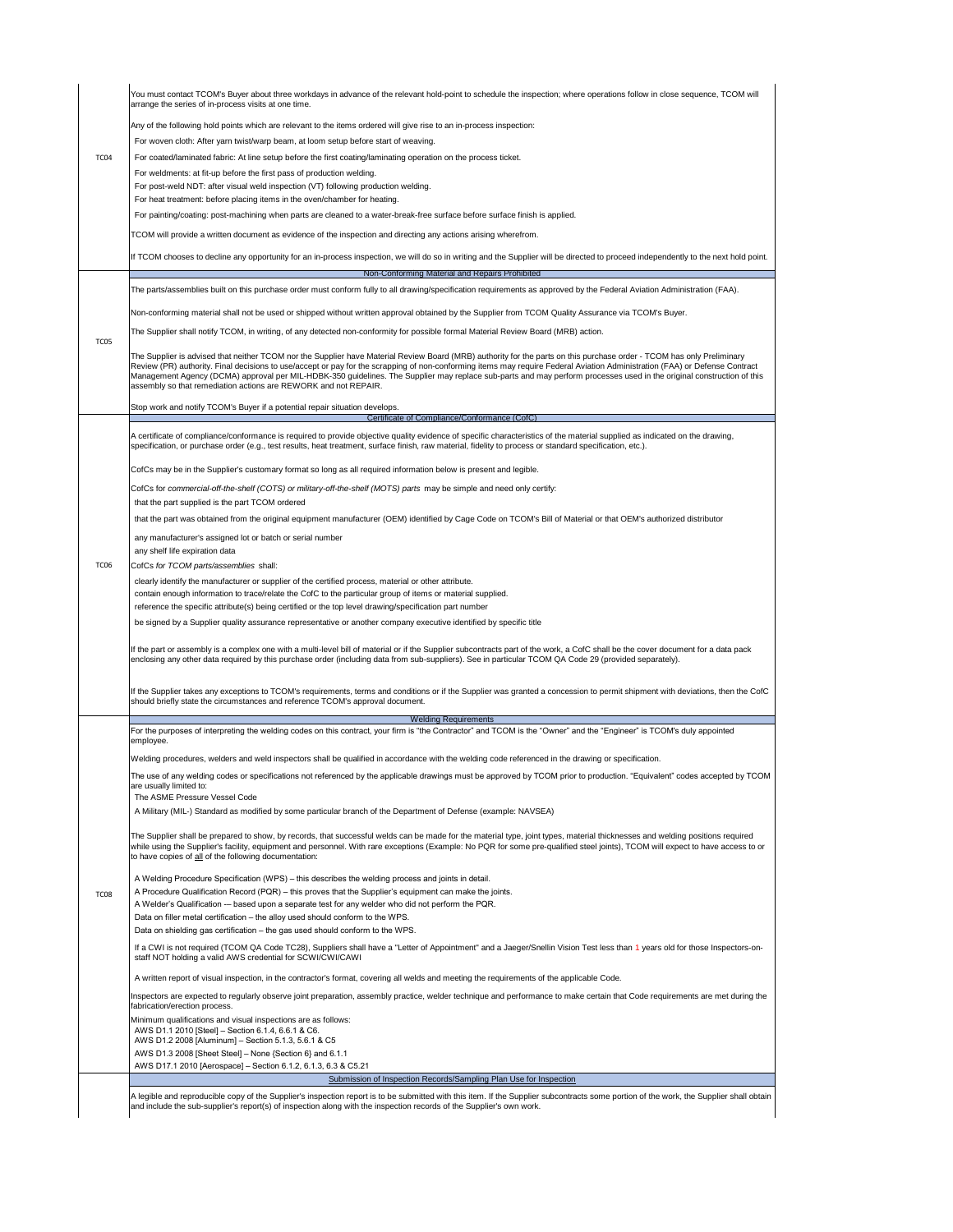A legible and reproducible copy of the Supplier's inspection report is to be submitted with this item. If the Supplier subcontracts some portion of the work, the Supplier shall obtain and include the sub-supplier's report(s) of inspection along with the inspection records of the Supplier's own work.

If a CWI is not required (TCOM QA Code TC28), Suppliers shall have a "Letter of Appointment" and a Jaeger/Snellin Vision Test less than 1 years old for those Inspectors-onstaff NOT holding a valid AWS credential for SCWI/CWI/CAWI

AWS D1.3 2008 [Sheet Steel] – None {Section 6} and 6.1.1

AWS D17.1 2010 [Aerospace] – Section 6.1.2, 6.1.3, 6.3 & C5.21

Submission of Inspection Records/Sampling Plan Use for Inspection

|                  | You must contact TCOM's Buyer about three workdays in advance of the relevant hold-point to schedule the inspection; where operations follow in close sequence, TCOM will<br>arrange the series of in-process visits at one time.                                                                                                                                                                                                                                                                                                                                                                 |  |  |  |  |
|------------------|---------------------------------------------------------------------------------------------------------------------------------------------------------------------------------------------------------------------------------------------------------------------------------------------------------------------------------------------------------------------------------------------------------------------------------------------------------------------------------------------------------------------------------------------------------------------------------------------------|--|--|--|--|
|                  | Any of the following hold points which are relevant to the items ordered will give rise to an in-process inspection:                                                                                                                                                                                                                                                                                                                                                                                                                                                                              |  |  |  |  |
|                  | For woven cloth: After yarn twist/warp beam, at loom setup before start of weaving.                                                                                                                                                                                                                                                                                                                                                                                                                                                                                                               |  |  |  |  |
| TC <sub>04</sub> | For coated/laminated fabric: At line setup before the first coating/laminating operation on the process ticket.                                                                                                                                                                                                                                                                                                                                                                                                                                                                                   |  |  |  |  |
|                  | For weldments: at fit-up before the first pass of production welding.                                                                                                                                                                                                                                                                                                                                                                                                                                                                                                                             |  |  |  |  |
|                  | For post-weld NDT: after visual weld inspection (VT) following production welding.<br>For heat treatment: before placing items in the oven/chamber for heating.                                                                                                                                                                                                                                                                                                                                                                                                                                   |  |  |  |  |
|                  | For painting/coating: post-machining when parts are cleaned to a water-break-free surface before surface finish is applied.                                                                                                                                                                                                                                                                                                                                                                                                                                                                       |  |  |  |  |
|                  | TCOM will provide a written document as evidence of the inspection and directing any actions arising wherefrom.                                                                                                                                                                                                                                                                                                                                                                                                                                                                                   |  |  |  |  |
|                  | If TCOM chooses to decline any opportunity for an in-process inspection, we will do so in writing and the Supplier will be directed to proceed independently to the next hold point.                                                                                                                                                                                                                                                                                                                                                                                                              |  |  |  |  |
|                  | Non-Conforming Material and Repairs Prohibited                                                                                                                                                                                                                                                                                                                                                                                                                                                                                                                                                    |  |  |  |  |
|                  | The parts/assemblies built on this purchase order must conform fully to all drawing/specification requirements as approved by the Federal Aviation Administration (FAA).                                                                                                                                                                                                                                                                                                                                                                                                                          |  |  |  |  |
|                  | Non-conforming material shall not be used or shipped without written approval obtained by the Supplier from TCOM Quality Assurance via TCOM's Buyer.                                                                                                                                                                                                                                                                                                                                                                                                                                              |  |  |  |  |
|                  | The Supplier shall notify TCOM, in writing, of any detected non-conformity for possible formal Material Review Board (MRB) action.                                                                                                                                                                                                                                                                                                                                                                                                                                                                |  |  |  |  |
| TC <sub>05</sub> | The Supplier is advised that neither TCOM nor the Supplier have Material Review Board (MRB) authority for the parts on this purchase order - TCOM has only Preliminary<br>Review (PR) authority. Final decisions to use/accept or pay for the scrapping of non-conforming items may require Federal Aviation Administration (FAA) or Defense Contract<br>Management Agency (DCMA) approval per MIL-HDBK-350 guidelines. The Supplier may replace sub-parts and may perform processes used in the original construction of this<br>assembly so that remediation actions are REWORK and not REPAIR. |  |  |  |  |
|                  | Stop work and notify TCOM's Buyer if a potential repair situation develops.                                                                                                                                                                                                                                                                                                                                                                                                                                                                                                                       |  |  |  |  |
|                  | Certificate of Compliance/Conformance (CofC)                                                                                                                                                                                                                                                                                                                                                                                                                                                                                                                                                      |  |  |  |  |
|                  | A certificate of compliance/conformance is required to provide objective quality evidence of specific characteristics of the material supplied as indicated on the drawing,<br>specification, or purchase order (e.g., test results, heat treatment, surface finish, raw material, fidelity to process or standard specification, etc.).                                                                                                                                                                                                                                                          |  |  |  |  |
|                  | CofCs may be in the Supplier's customary format so long as all required information below is present and legible.                                                                                                                                                                                                                                                                                                                                                                                                                                                                                 |  |  |  |  |
|                  | CofCs for commercial-off-the-shelf (COTS) or military-off-the-shelf (MOTS) parts may be simple and need only certify:                                                                                                                                                                                                                                                                                                                                                                                                                                                                             |  |  |  |  |
|                  | that the part supplied is the part TCOM ordered                                                                                                                                                                                                                                                                                                                                                                                                                                                                                                                                                   |  |  |  |  |
|                  | that the part was obtained from the original equipment manufacturer (OEM) identified by Cage Code on TCOM's Bill of Material or that OEM's authorized distributor                                                                                                                                                                                                                                                                                                                                                                                                                                 |  |  |  |  |
|                  | any manufacturer's assigned lot or batch or serial number<br>any shelf life expiration data                                                                                                                                                                                                                                                                                                                                                                                                                                                                                                       |  |  |  |  |
| TC <sub>06</sub> | CofCs for TCOM parts/assemblies shall:                                                                                                                                                                                                                                                                                                                                                                                                                                                                                                                                                            |  |  |  |  |
|                  | clearly identify the manufacturer or supplier of the certified process, material or other attribute.                                                                                                                                                                                                                                                                                                                                                                                                                                                                                              |  |  |  |  |
|                  | contain enough information to trace/relate the CofC to the particular group of items or material supplied.                                                                                                                                                                                                                                                                                                                                                                                                                                                                                        |  |  |  |  |
|                  | reference the specific attribute(s) being certified or the top level drawing/specification part number                                                                                                                                                                                                                                                                                                                                                                                                                                                                                            |  |  |  |  |
|                  | be signed by a Supplier quality assurance representative or another company executive identified by specific title                                                                                                                                                                                                                                                                                                                                                                                                                                                                                |  |  |  |  |
|                  | If the part or assembly is a complex one with a multi-level bill of material or if the Supplier subcontracts part of the work, a CofC shall be the cover document for a data pack<br>enclosing any other data required by this purchase order (including data from sub-suppliers). See in particular TCOM QA Code 29 (provided separately).                                                                                                                                                                                                                                                       |  |  |  |  |
|                  | If the Supplier takes any exceptions to TCOM's requirements, terms and conditions or if the Supplier was granted a concession to permit shipment with deviations, then the CofC<br>should briefly state the circumstances and reference TCOM's approval document.                                                                                                                                                                                                                                                                                                                                 |  |  |  |  |
|                  | <b>Welding Requirements</b>                                                                                                                                                                                                                                                                                                                                                                                                                                                                                                                                                                       |  |  |  |  |
|                  | For the purposes of interpreting the welding codes on this contract, your firm is "the Contractor" and TCOM is the "Owner" and the "Engineer" is TCOM's duly appointed<br>employee.                                                                                                                                                                                                                                                                                                                                                                                                               |  |  |  |  |
|                  | Welding procedures, welders and weld inspectors shall be qualified in accordance with the welding code referenced in the drawing or specification.                                                                                                                                                                                                                                                                                                                                                                                                                                                |  |  |  |  |
|                  | The use of any welding codes or specifications not referenced by the applicable drawings must be approved by TCOM prior to production. "Equivalent" codes accepted by TCOM<br>are usually limited to:<br>The ASME Pressure Vessel Code                                                                                                                                                                                                                                                                                                                                                            |  |  |  |  |
|                  | A Military (MIL-) Standard as modified by some particular branch of the Department of Defense (example: NAVSEA)                                                                                                                                                                                                                                                                                                                                                                                                                                                                                   |  |  |  |  |
|                  | The Supplier shall be prepared to show, by records, that successful welds can be made for the material type, joint types, material thicknesses and welding positions required<br>while using the Supplier's facility, equipment and personnel. With rare exceptions (Example: No PQR for some pre-qualified steel joints), TCOM will expect to have access to or<br>to have copies of all of the following documentation:                                                                                                                                                                         |  |  |  |  |
|                  | A Welding Procedure Specification (WPS) – this describes the welding process and joints in detail.                                                                                                                                                                                                                                                                                                                                                                                                                                                                                                |  |  |  |  |
| TC <sub>08</sub> | A Procedure Qualification Record (PQR) – this proves that the Supplier's equipment can make the joints.<br>A Welder's Qualification -- based upon a separate test for any welder who did not perform the PQR.                                                                                                                                                                                                                                                                                                                                                                                     |  |  |  |  |

Data on filler metal certification – the alloy used should conform to the WPS.

Data on shielding gas certification – the gas used should conform to the WPS.

A written report of visual inspection, in the contractor's format, covering all welds and meeting the requirements of the applicable Code.

Inspectors are expected to regularly observe joint preparation, assembly practice, welder technique and performance to make certain that Code requirements are met during the fabrication/erection process.

Minimum qualifications and visual inspections are as follows: AWS D1.1 2010 [Steel] – Section 6.1.4, 6.6.1 & C6.

AWS D1.2 2008 [Aluminum] – Section 5.1.3, 5.6.1 & C5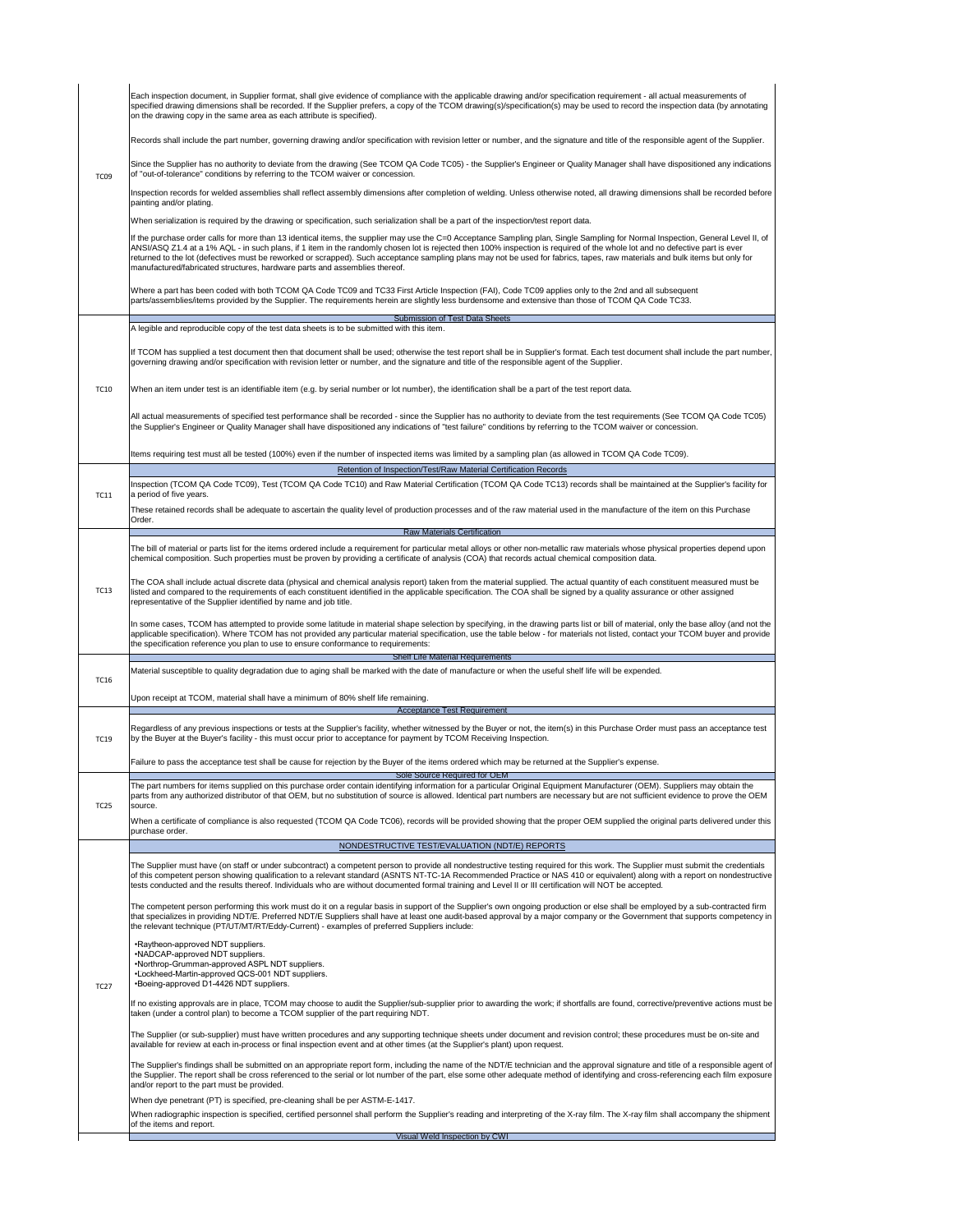The Supplier (or sub-supplier) must have written procedures and any supporting technique sheets under document and revision control; these procedures must be on-site and available for review at each in-process or final inspection event and at other times (at the Supplier's plant) upon request.

The Supplier's findings shall be submitted on an appropriate report form, including the name of the NDT/E technician and the approval signature and title of a responsible agent of the Supplier. The report shall be cross referenced to the serial or lot number of the part, else some other adequate method of identifying and cross-referencing each film exposure and/or report to the part must be provided.

When dye penetrant (PT) is specified, pre-cleaning shall be per ASTM-E-1417.

When radiographic inspection is specified, certified personnel shall perform the Supplier's reading and interpreting of the X-ray film. The X-ray film shall accompany the shipment of the items and report.

|             | <b>Retention of Inspection/Test/Raw Material Certification Records</b>                                                                                                                                                                                                                                                                                                                                                                                                                                                    |  |  |  |
|-------------|---------------------------------------------------------------------------------------------------------------------------------------------------------------------------------------------------------------------------------------------------------------------------------------------------------------------------------------------------------------------------------------------------------------------------------------------------------------------------------------------------------------------------|--|--|--|
| <b>TC11</b> | Inspection (TCOM QA Code TC09), Test (TCOM QA Code TC10) and Raw Material Certification (TCOM QA Code TC13) records shall be maintained at the Supplier's facility for<br>a period of five years.                                                                                                                                                                                                                                                                                                                         |  |  |  |
|             | These retained records shall be adequate to ascertain the quality level of production processes and of the raw material used in the manufacture of the item on this Purchase<br>Order.                                                                                                                                                                                                                                                                                                                                    |  |  |  |
|             | <b>Raw Materials Certification</b>                                                                                                                                                                                                                                                                                                                                                                                                                                                                                        |  |  |  |
|             | The bill of material or parts list for the items ordered include a requirement for particular metal alloys or other non-metallic raw materials whose physical properties depend upon<br>chemical composition. Such properties must be proven by providing a certificate of analysis (COA) that records actual chemical composition data.                                                                                                                                                                                  |  |  |  |
| <b>TC13</b> | The COA shall include actual discrete data (physical and chemical analysis report) taken from the material supplied. The actual quantity of each constituent measured must be<br>listed and compared to the requirements of each constituent identified in the applicable specification. The COA shall be signed by a quality assurance or other assigned<br>representative of the Supplier identified by name and job title.                                                                                             |  |  |  |
|             | In some cases, TCOM has attempted to provide some latitude in material shape selection by specifying, in the drawing parts list or bill of material, only the base alloy (and not the<br>applicable specification). Where TCOM has not provided any particular material specification, use the table below - for materials not listed, contact your TCOM buyer and provide<br>the specification reference you plan to use to ensure conformance to requirements:                                                          |  |  |  |
|             | <b>Shelf Life Material Requirements</b>                                                                                                                                                                                                                                                                                                                                                                                                                                                                                   |  |  |  |
| <b>TC16</b> | Material susceptible to quality degradation due to aging shall be marked with the date of manufacture or when the useful shelf life will be expended.                                                                                                                                                                                                                                                                                                                                                                     |  |  |  |
|             | Upon receipt at TCOM, material shall have a minimum of 80% shelf life remaining.                                                                                                                                                                                                                                                                                                                                                                                                                                          |  |  |  |
|             | <b>Acceptance Test Requirement</b>                                                                                                                                                                                                                                                                                                                                                                                                                                                                                        |  |  |  |
| <b>TC19</b> | Regardless of any previous inspections or tests at the Supplier's facility, whether witnessed by the Buyer or not, the item(s) in this Purchase Order must pass an acceptance test<br>by the Buyer at the Buyer's facility - this must occur prior to acceptance for payment by TCOM Receiving Inspection.                                                                                                                                                                                                                |  |  |  |
|             | Failure to pass the acceptance test shall be cause for rejection by the Buyer of the items ordered which may be returned at the Supplier's expense.                                                                                                                                                                                                                                                                                                                                                                       |  |  |  |
|             | <b>Sole Source Required for OEM</b>                                                                                                                                                                                                                                                                                                                                                                                                                                                                                       |  |  |  |
| <b>TC25</b> | The part numbers for items supplied on this purchase order contain identifying information for a particular Original Equipment Manufacturer (OEM). Suppliers may obtain the<br>parts from any authorized distributor of that OEM, but no substitution of source is allowed. Identical part numbers are necessary but are not sufficient evidence to prove the OEM<br>source.                                                                                                                                              |  |  |  |
|             | When a certificate of compliance is also requested (TCOM QA Code TC06), records will be provided showing that the proper OEM supplied the original parts delivered under this<br>purchase order.                                                                                                                                                                                                                                                                                                                          |  |  |  |
|             | NONDESTRUCTIVE TEST/EVALUATION (NDT/E) REPORTS                                                                                                                                                                                                                                                                                                                                                                                                                                                                            |  |  |  |
|             | The Supplier must have (on staff or under subcontract) a competent person to provide all nondestructive testing required for this work. The Supplier must submit the credentials<br>of this competent person showing qualification to a relevant standard (ASNTS NT-TC-1A Recommended Practice or NAS 410 or equivalent) along with a report on nondestructive<br>tests conducted and the results thereof. Individuals who are without documented formal training and Level II or III certification will NOT be accepted. |  |  |  |
|             | The competent person performing this work must do it on a regular basis in support of the Supplier's own ongoing production or else shall be employed by a sub-contracted firm<br>that specializes in providing NDT/E, Preferred NDT/E Suppliers shall have at least one audit-based approval by a major company or the Covernment that supports compatency in                                                                                                                                                            |  |  |  |

|that specializes in providing NDT/E. Preferred NDT/E Suppliers shall have at least one audit-based approval by a major company or the Government that supports competency in | the relevant technique (PT/UT/MT/RT/Eddy-Current) - examples of preferred Suppliers include:

• Raytheon-approved NDT suppliers. • NADCAP-approved NDT suppliers. •Northrop-Grumman-approved ASPL NDT suppliers. • Lockheed-Martin-approved QCS-001 NDT suppliers. •Boeing-approved D1-4426 NDT suppliers.

|             | Each inspection document, in Supplier format, shall give evidence of compliance with the applicable drawing and/or specification requirement - all actual measurements of<br>specified drawing dimensions shall be recorded. If the Supplier prefers, a copy of the TCOM drawing(s)/specification(s) may be used to record the inspection data (by annotating<br>on the drawing copy in the same area as each attribute is specified).                                                                                                                                                                                       |
|-------------|------------------------------------------------------------------------------------------------------------------------------------------------------------------------------------------------------------------------------------------------------------------------------------------------------------------------------------------------------------------------------------------------------------------------------------------------------------------------------------------------------------------------------------------------------------------------------------------------------------------------------|
|             | Records shall include the part number, governing drawing and/or specification with revision letter or number, and the signature and title of the responsible agent of the Supplier.                                                                                                                                                                                                                                                                                                                                                                                                                                          |
| <b>TC09</b> | Since the Supplier has no authority to deviate from the drawing (See TCOM QA Code TC05) - the Supplier's Engineer or Quality Manager shall have dispositioned any indications<br>of "out-of-tolerance" conditions by referring to the TCOM waiver or concession.                                                                                                                                                                                                                                                                                                                                                             |
|             | Inspection records for welded assemblies shall reflect assembly dimensions after completion of welding. Unless otherwise noted, all drawing dimensions shall be recorded before<br>painting and/or plating.                                                                                                                                                                                                                                                                                                                                                                                                                  |
|             | When serialization is required by the drawing or specification, such serialization shall be a part of the inspection/test report data.                                                                                                                                                                                                                                                                                                                                                                                                                                                                                       |
|             | If the purchase order calls for more than 13 identical items, the supplier may use the C=0 Acceptance Sampling plan, Single Sampling for Normal Inspection, General Level II, of<br>ANSI/ASQ Z1.4 at a 1% AQL - in such plans, if 1 item in the randomly chosen lot is rejected then 100% inspection is required of the whole lot and no defective part is ever<br>returned to the lot (defectives must be reworked or scrapped). Such acceptance sampling plans may not be used for fabrics, tapes, raw materials and bulk items but only for<br>manufactured/fabricated structures, hardware parts and assemblies thereof. |
|             | Where a part has been coded with both TCOM QA Code TC09 and TC33 First Article Inspection (FAI), Code TC09 applies only to the 2nd and all subsequent<br>parts/assemblies/items provided by the Supplier. The requirements herein are slightly less burdensome and extensive than those of TCOM QA Code TC33.                                                                                                                                                                                                                                                                                                                |
|             | <b>Submission of Test Data Sheets</b>                                                                                                                                                                                                                                                                                                                                                                                                                                                                                                                                                                                        |
|             | A legible and reproducible copy of the test data sheets is to be submitted with this item.                                                                                                                                                                                                                                                                                                                                                                                                                                                                                                                                   |
| <b>TC10</b> | If TCOM has supplied a test document then that document shall be used; otherwise the test report shall be in Supplier's format. Each test document shall include the part number,<br>governing drawing and/or specification with revision letter or number, and the signature and title of the responsible agent of the Supplier.                                                                                                                                                                                                                                                                                            |
|             | When an item under test is an identifiable item (e.g. by serial number or lot number), the identification shall be a part of the test report data.                                                                                                                                                                                                                                                                                                                                                                                                                                                                           |
|             | All actual measurements of specified test performance shall be recorded - since the Supplier has no authority to deviate from the test requirements (See TCOM QA Code TC05)<br>the Supplier's Engineer or Quality Manager shall have dispositioned any indications of "test failure" conditions by referring to the TCOM waiver or concession.                                                                                                                                                                                                                                                                               |

Items requiring test must all be tested (100%) even if the number of inspected items was limited by a sampling plan (as allowed in TCOM QA Code TC09).

Visual Weld Inspection by CWI

TC27

 $\blacksquare$ 

If no existing approvals are in place, TCOM may choose to audit the Supplier/sub-supplier prior to awarding the work; if shortfalls are found, corrective/preventive actions must be taken (under a control plan) to become a TCOM supplier of the part requiring NDT.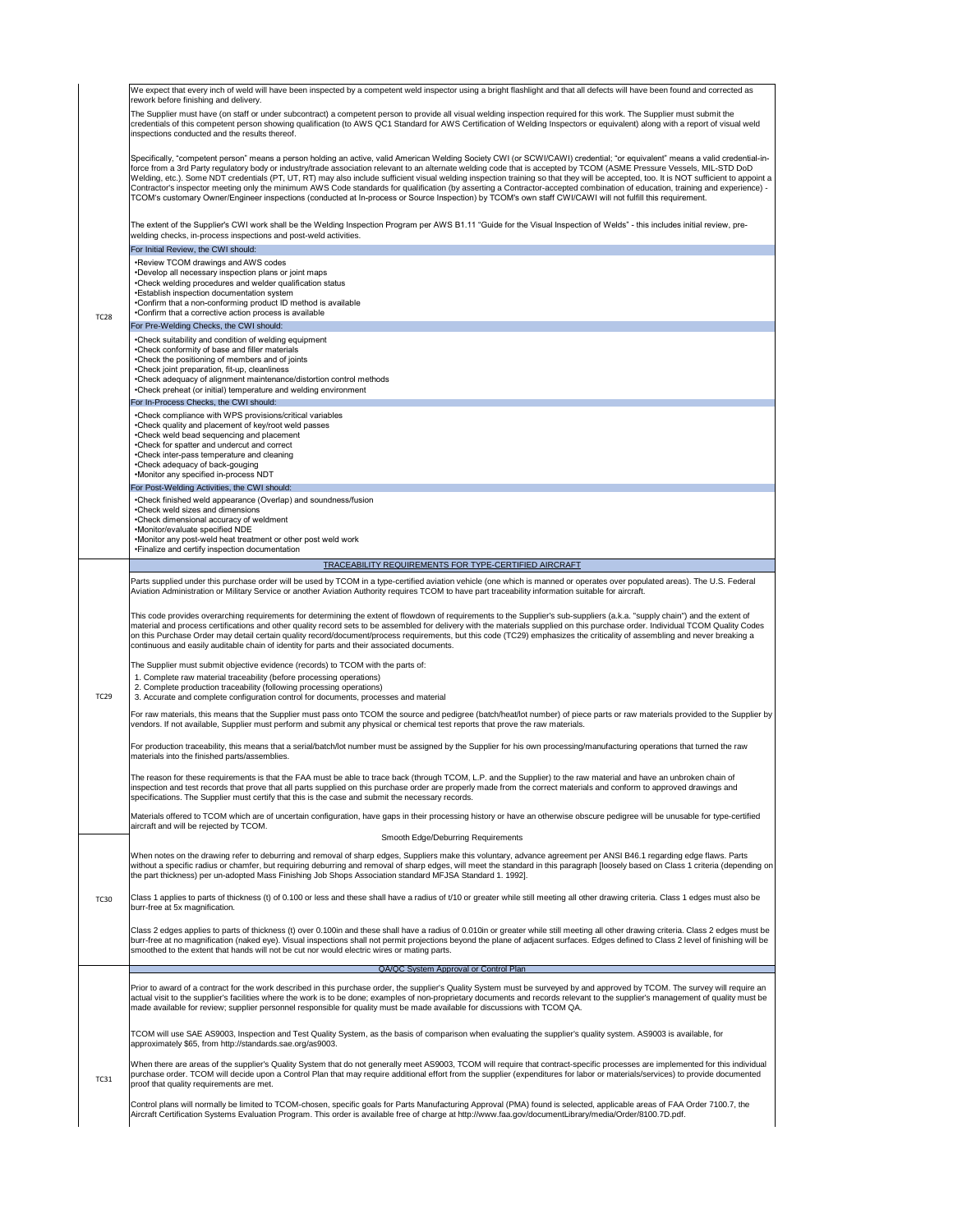#### QA/QC System Approval or Control Plan

Prior to award of a contract for the work described in this purchase order, the supplier's Quality System must be surveyed by and approved by TCOM. The survey will require an actual visit to the supplier's facilities where the work is to be done; examples of non-proprietary documents and records relevant to the supplier's management of quality must be made available for review; supplier personnel responsible for quality must be made available for discussions with TCOM QA.

TC28

Specifically, "competent person" means a person holding an active, valid American Welding Society CWI (or SCWI/CAWI) credential; "or equivalent" means a valid credentialinforce from a 3rd Party regulatory body or industry/trade association relevant to an alternate welding code that is accepted by TCOM (ASME Pressure Vessels, MIL-STD DoD Welding, etc.). Some NDT credentials (PT, UT, RT) may also include sufficient visual welding inspection training so that they will be accepted, too. It is NOT sufficient to appoint a Contractor's inspector meeting only the minimum AWS Code standards for qualification (by asserting a Contractor-accepted combination of education, training and experience) -  $|\mathsf{TCOM}$ 's customary Owner/Engineer inspections (conducted at In-process or Source Inspection) by  $\mathsf{TCOM}$ 's own staff CWI/CAWI will not fulfill this requirement.

We expect that every inch of weld will have been inspected by a competent weld inspector using a bright flashlight and that all defects will have been found and corrected as rework before finishing and delivery.

The Supplier must have (on staff or under subcontract) a competent person to provide all visual welding inspection required for this work. The Supplier must submit the credentials of this competent person showing qualification (to AWS QC1 Standard for AWS Certification of Welding Inspectors or equivalent) along with a report of visual weld inspections conducted and the results thereof.

• Review TCOM drawings and AWS codes • Develop all necessary inspection plans or joint maps • Check welding procedures and welder qualification status • Establish inspection documentation system •Confirm that a non-conforming product ID method is available • Confirm that a corrective action process is available

• Check compliance with WPS provisions/critical variables • Check quality and placement of key/root weld passes • Check weld bead sequencing and placement • Check for spatter and undercut and correct • Check inter-pass temperature and cleaning

The extent of the Supplier's CWI work shall be the Welding Inspection Program per AWS B1.11 "Guide for the Visual Inspection of Welds" this includes initial review, prewelding checks, in-process inspections and post-weld activities.

#### For Initial Review, the CWI should:

#### For Pre-Welding Checks, the CWI should:

• Check suitability and condition of welding equipment • Check conformity of base and filler materials • Check the positioning of members and of joints • Check joint preparation, fit-up, cleanliness • Check adequacy of alignment maintenance/distortion control methods • Check preheat (or initial) temperature and welding environment

#### For In-Process Checks, the CWI should:

|                                              | •Check adequacy of back-gouging<br>•Monitor any specified in-process NDT                                                                                                                                                                                                                                                                                                                                                                                                                                                                                                                                                                      |  |  |  |  |
|----------------------------------------------|-----------------------------------------------------------------------------------------------------------------------------------------------------------------------------------------------------------------------------------------------------------------------------------------------------------------------------------------------------------------------------------------------------------------------------------------------------------------------------------------------------------------------------------------------------------------------------------------------------------------------------------------------|--|--|--|--|
| For Post-Welding Activities, the CWI should: |                                                                                                                                                                                                                                                                                                                                                                                                                                                                                                                                                                                                                                               |  |  |  |  |
|                                              | •Check finished weld appearance (Overlap) and soundness/fusion<br>•Check weld sizes and dimensions<br>•Check dimensional accuracy of weldment<br>•Monitor/evaluate specified NDE<br>•Monitor any post-weld heat treatment or other post weld work<br>•Einalize and certify inspection documentation                                                                                                                                                                                                                                                                                                                                           |  |  |  |  |
|                                              | <b>TRACEABILITY REQUIREMENTS FOR TYPE-CERTIFIED AIRCRAFT</b>                                                                                                                                                                                                                                                                                                                                                                                                                                                                                                                                                                                  |  |  |  |  |
| <b>TC29</b>                                  | Parts supplied under this purchase order will be used by TCOM in a type-certified aviation vehicle (one which is manned or operates over populated areas). The U.S. Federal<br>Aviation Administration or Military Service or another Aviation Authority requires TCOM to have part traceability information suitable for aircraft.                                                                                                                                                                                                                                                                                                           |  |  |  |  |
|                                              | This code provides overarching requirements for determining the extent of flowdown of requirements to the Supplier's sub-suppliers (a.k.a. "supply chain") and the extent of<br>material and process certifications and other quality record sets to be assembled for delivery with the materials supplied on this purchase order. Individual TCOM Quality Codes<br>on this Purchase Order may detail certain quality record/document/process requirements, but this code (TC29) emphasizes the criticality of assembling and never breaking a<br>continuous and easily auditable chain of identity for parts and their associated documents. |  |  |  |  |
|                                              | The Supplier must submit objective evidence (records) to TCOM with the parts of:                                                                                                                                                                                                                                                                                                                                                                                                                                                                                                                                                              |  |  |  |  |
|                                              | 1. Complete raw material traceability (before processing operations)<br>2. Complete production traceability (following processing operations)<br>3. Accurate and complete configuration control for documents, processes and material                                                                                                                                                                                                                                                                                                                                                                                                         |  |  |  |  |
|                                              | For raw materials, this means that the Supplier must pass onto TCOM the source and pedigree (batch/heat/lot number) of piece parts or raw materials provided to the Supplier by<br>vendors. If not available, Supplier must perform and submit any physical or chemical test reports that prove the raw materials.                                                                                                                                                                                                                                                                                                                            |  |  |  |  |
|                                              | For production traceability, this means that a serial/batch/lot number must be assigned by the Supplier for his own processing/manufacturing operations that turned the raw<br>materials into the finished parts/assemblies.                                                                                                                                                                                                                                                                                                                                                                                                                  |  |  |  |  |
|                                              | The reason for these requirements is that the FAA must be able to trace back (through TCOM, L.P. and the Supplier) to the raw material and have an unbroken chain of<br>inspection and test records that prove that all parts supplied on this purchase order are properly made from the correct materials and conform to approved drawings and<br>specifications. The Supplier must certify that this is the case and submit the necessary records.                                                                                                                                                                                          |  |  |  |  |
|                                              | Materials offered to TCOM which are of uncertain configuration, have gaps in their processing history or have an otherwise obscure pedigree will be unusable for type-certified<br>aircraft and will be rejected by TCOM.                                                                                                                                                                                                                                                                                                                                                                                                                     |  |  |  |  |
|                                              | <b>Smooth Edge/Deburring Requirements</b>                                                                                                                                                                                                                                                                                                                                                                                                                                                                                                                                                                                                     |  |  |  |  |
|                                              | When notes on the drawing refer to deburring and removal of sharp edges, Suppliers make this voluntary, advance agreement per ANSI B46.1 regarding edge flaws. Parts<br>without a specific radius or chamfer, but requiring deburring and removal of sharp edges, will meet the standard in this paragraph [loosely based on Class 1 criteria (depending on<br>the part thickness) per un-adopted Mass Finishing Job Shops Association standard MFJSA Standard 1. 1992].                                                                                                                                                                      |  |  |  |  |
| <b>TC30</b>                                  | Class 1 applies to parts of thickness (t) of 0.100 or less and these shall have a radius of t/10 or greater while still meeting all other drawing criteria. Class 1 edges must also be<br>burr-free at 5x magnification.                                                                                                                                                                                                                                                                                                                                                                                                                      |  |  |  |  |

Class 2 edges applies to parts of thickness (t) over 0.100in and these shall have a radius of 0.010in or greater while still meeting all other drawing criteria. Class 2 edges must be burr-free at no magnification (naked eye). Visual inspections shall not permit projections beyond the plane of adjacent surfaces. Edges defined to Class 2 level of finishing will be smoothed to the extent that hands will not be cut nor would electric wires or mating parts.

TCOM will use SAE AS9003, Inspection and Test Quality System, as the basis of comparison when evaluating the supplier's quality system. AS9003 is available, for approximately \$65, from http://standards.sae.org/as9003.

When there are areas of the supplier's Quality System that do not generally meet AS9003, TCOM will require that contract-specific processes are implemented for this individual purchase order. TCOM will decide upon a Control Plan that may require additional effort from the supplier (expenditures for labor or materials/services) to provide documented proof that quality requirements are met.

TC31

Control plans will normally be limited to TCOM-chosen, specific goals for Parts Manufacturing Approval (PMA) found is selected, applicable areas of FAA Order 7100.7, the Aircraft Certification Systems Evaluation Program. This order is available free of charge at http://www.faa.gov/documentLibrary/media/Order/8100.7D.pdf.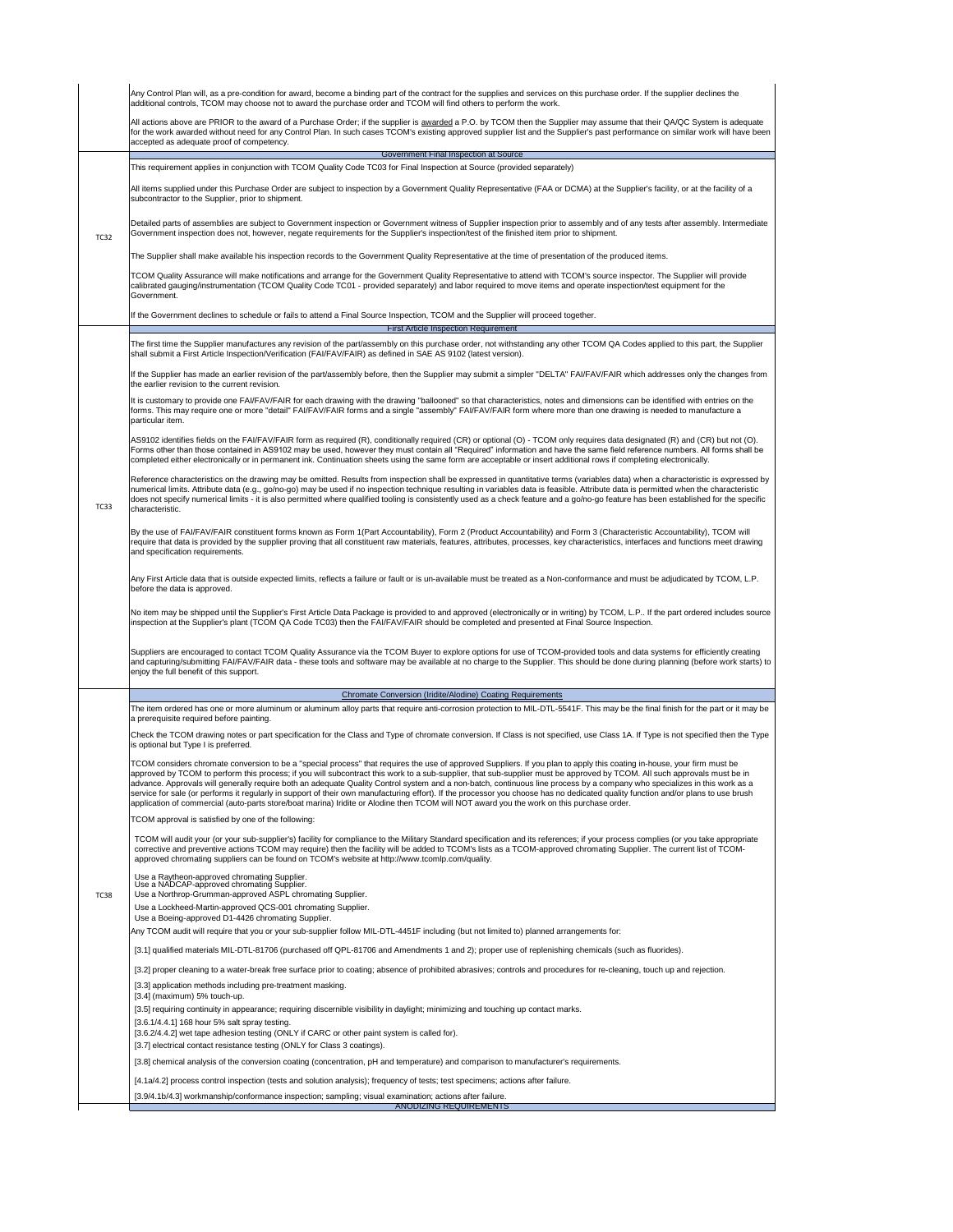Any TCOM audit will require that you or your sub-supplier follow MIL-DTL-4451F including (but not limited to) planned arrangements for:

| Any Control Plan will, as a pre-condition for award, become a binding part of the contract for the supplies and services on this purchase order. If the supplier declines the<br>additional controls, TCOM may choose not to award the purchase order and TCOM will find others to perform the work. |                                                                                                                                                                                                                                                                                                                                                                                                          |  |  |  |  |  |
|------------------------------------------------------------------------------------------------------------------------------------------------------------------------------------------------------------------------------------------------------------------------------------------------------|----------------------------------------------------------------------------------------------------------------------------------------------------------------------------------------------------------------------------------------------------------------------------------------------------------------------------------------------------------------------------------------------------------|--|--|--|--|--|
|                                                                                                                                                                                                                                                                                                      | All actions above are PRIOR to the award of a Purchase Order; if the supplier is awarded a P.O. by TCOM then the Supplier may assume that their QA/QC System is adequate<br>for the work awarded without need for any Control Plan. In such cases TCOM's existing approved supplier list and the Supplier's past performance on similar work will have been<br>accepted as adequate proof of competency. |  |  |  |  |  |
|                                                                                                                                                                                                                                                                                                      | Government Final Inspection at Source                                                                                                                                                                                                                                                                                                                                                                    |  |  |  |  |  |
| <b>TC32</b>                                                                                                                                                                                                                                                                                          | This requirement applies in conjunction with TCOM Quality Code TC03 for Final Inspection at Source (provided separately)                                                                                                                                                                                                                                                                                 |  |  |  |  |  |
|                                                                                                                                                                                                                                                                                                      | All items supplied under this Purchase Order are subject to inspection by a Government Quality Representative (FAA or DCMA) at the Supplier's facility, or at the facility of a<br>subcontractor to the Supplier, prior to shipment.                                                                                                                                                                     |  |  |  |  |  |
|                                                                                                                                                                                                                                                                                                      | Detailed parts of assemblies are subject to Government inspection or Government witness of Supplier inspection prior to assembly and of any tests after assembly. Intermediate<br>Government inspection does not, however, negate requirements for the Supplier's inspection/test of the finished item prior to shipment.                                                                                |  |  |  |  |  |
|                                                                                                                                                                                                                                                                                                      | The Supplier shall make available his inspection records to the Government Quality Representative at the time of presentation of the produced items.                                                                                                                                                                                                                                                     |  |  |  |  |  |
|                                                                                                                                                                                                                                                                                                      | TCOM Quality Assurance will make notifications and arrange for the Government Quality Representative to attend with TCOM's source inspector. The Supplier will provide<br>calibrated gauging/instrumentation (TCOM Quality Code TC01 - provided separately) and labor required to move items and operate inspection/test equipment for the<br>Government.                                                |  |  |  |  |  |
|                                                                                                                                                                                                                                                                                                      | If the Government declines to schedule or fails to attend a Final Source Inspection, TCOM and the Supplier will proceed together.                                                                                                                                                                                                                                                                        |  |  |  |  |  |
|                                                                                                                                                                                                                                                                                                      | <b>First Article Inspection Requirement</b>                                                                                                                                                                                                                                                                                                                                                              |  |  |  |  |  |
|                                                                                                                                                                                                                                                                                                      | The first time the Supplier manufactures any revision of the part/assembly on this purchase order, not withstanding any other TCOM QA Codes applied to this part, the Supplier<br>shall submit a First Article Inspection/Verification (FAI/FAV/FAIR) as defined in SAE AS 9102 (latest version).                                                                                                        |  |  |  |  |  |
|                                                                                                                                                                                                                                                                                                      | If the Supplier has made an earlier revision of the part/assembly before, then the Supplier may submit a simpler "DELTA" FAI/FAV/FAIR which addresses only the changes from<br>the earlier revision to the current revision.                                                                                                                                                                             |  |  |  |  |  |
|                                                                                                                                                                                                                                                                                                      | It is customary to provide one FAI/FAV/FAIR for each drawing with the drawing "ballooned" so that characteristics, notes and dimensions can be identified with entries on the<br>forms. This may require one or more "detail" FAI/FAV/FAIR forms and a single "assembly" FAI/FAV/FAIR form where more than one drawing is needed to manufacture a<br>particular item.                                    |  |  |  |  |  |
|                                                                                                                                                                                                                                                                                                      | AS9102 identifies fields on the FAI/FAV/FAIR form as required (R), conditionally required (CR) or optional (O) - TCOM only requires data designated (R) and (CR) but not (O).<br>Forms other than those contained in AS9102 may be used, however they must contain all "Required" information and have the same field reference numbers. All forms shall be                                              |  |  |  |  |  |

|             | completed either electronically or in permanent ink. Continuation sheets using the same form are acceptable or insert additional rows if completing electronically.                                                                                                                                                                                                                                                                                                                                                                                                                                                                                                                                                                                                                                                                                                |  |  |  |  |
|-------------|--------------------------------------------------------------------------------------------------------------------------------------------------------------------------------------------------------------------------------------------------------------------------------------------------------------------------------------------------------------------------------------------------------------------------------------------------------------------------------------------------------------------------------------------------------------------------------------------------------------------------------------------------------------------------------------------------------------------------------------------------------------------------------------------------------------------------------------------------------------------|--|--|--|--|
| <b>TC33</b> | Reference characteristics on the drawing may be omitted. Results from inspection shall be expressed in quantitative terms (variables data) when a characteristic is expressed by<br>numerical limits. Attribute data (e.g., go/no-go) may be used if no inspection technique resulting in variables data is feasible. Attribute data is permitted when the characteristic<br>does not specify numerical limits - it is also permitted where qualified tooling is consistently used as a check feature and a go/no-go feature has been established for the specific<br>characteristic.                                                                                                                                                                                                                                                                              |  |  |  |  |
|             | By the use of FAI/FAV/FAIR constituent forms known as Form 1(Part Accountability), Form 2 (Product Accountability) and Form 3 (Characteristic Accountability), TCOM will<br>require that data is provided by the supplier proving that all constituent raw materials, features, attributes, processes, key characteristics, interfaces and functions meet drawing<br>and specification requirements.                                                                                                                                                                                                                                                                                                                                                                                                                                                               |  |  |  |  |
|             | Any First Article data that is outside expected limits, reflects a failure or fault or is un-available must be treated as a Non-conformance and must be adjudicated by TCOM, L.P.<br>before the data is approved.                                                                                                                                                                                                                                                                                                                                                                                                                                                                                                                                                                                                                                                  |  |  |  |  |
|             | No item may be shipped until the Supplier's First Article Data Package is provided to and approved (electronically or in writing) by TCOM, L.P If the part ordered includes source<br>inspection at the Supplier's plant (TCOM QA Code TC03) then the FAI/FAV/FAIR should be completed and presented at Final Source Inspection.                                                                                                                                                                                                                                                                                                                                                                                                                                                                                                                                   |  |  |  |  |
|             | Suppliers are encouraged to contact TCOM Quality Assurance via the TCOM Buyer to explore options for use of TCOM-provided tools and data systems for efficiently creating<br>and capturing/submitting FAI/FAV/FAIR data - these tools and software may be available at no charge to the Supplier. This should be done during planning (before work starts) to<br>enjoy the full benefit of this support.                                                                                                                                                                                                                                                                                                                                                                                                                                                           |  |  |  |  |
|             | <b>Chromate Conversion (Iridite/Alodine) Coating Requirements</b>                                                                                                                                                                                                                                                                                                                                                                                                                                                                                                                                                                                                                                                                                                                                                                                                  |  |  |  |  |
|             | The item ordered has one or more aluminum or aluminum alloy parts that require anti-corrosion protection to MIL-DTL-5541F. This may be the final finish for the part or it may be<br>a prerequisite required before painting.                                                                                                                                                                                                                                                                                                                                                                                                                                                                                                                                                                                                                                      |  |  |  |  |
|             | Check the TCOM drawing notes or part specification for the Class and Type of chromate conversion. If Class is not specified, use Class 1A. If Type is not specified then the Type<br>is optional but Type I is preferred.                                                                                                                                                                                                                                                                                                                                                                                                                                                                                                                                                                                                                                          |  |  |  |  |
|             | TCOM considers chromate conversion to be a "special process" that requires the use of approved Suppliers. If you plan to apply this coating in-house, your firm must be<br>approved by TCOM to perform this process; if you will subcontract this work to a sub-supplier, that sub-supplier must be approved by TCOM. All such approvals must be in<br>advance. Approvals will generally require both an adequate Quality Control system and a non-batch, continuous line process by a company who specializes in this work as a<br>service for sale (or performs it regularly in support of their own manufacturing effort). If the processor you choose has no dedicated quality function and/or plans to use brush<br>application of commercial (auto-parts store/boat marina) Iridite or Alodine then TCOM will NOT award you the work on this purchase order. |  |  |  |  |
|             | TCOM approval is satisfied by one of the following:                                                                                                                                                                                                                                                                                                                                                                                                                                                                                                                                                                                                                                                                                                                                                                                                                |  |  |  |  |
|             | TCOM will audit your (or your sub-supplier's) facility for compliance to the Military Standard specification and its references; if your process complies (or you take appropriate<br>corrective and preventive actions TCOM may require) then the facility will be added to TCOM's lists as a TCOM-approved chromating Supplier. The current list of TCOM-<br>approved chromating suppliers can be found on TCOM's website at http://www.tcomlp.com/quality.                                                                                                                                                                                                                                                                                                                                                                                                      |  |  |  |  |
| <b>TC38</b> | Use a Raytheon-approved chromating Supplier.<br>Use a NADCAP-approved chromating Supplier.<br>Use a Northrop-Grumman-approved ASPL chromating Supplier.                                                                                                                                                                                                                                                                                                                                                                                                                                                                                                                                                                                                                                                                                                            |  |  |  |  |
|             | Use a Lockheed-Martin-approved QCS-001 chromating Supplier.                                                                                                                                                                                                                                                                                                                                                                                                                                                                                                                                                                                                                                                                                                                                                                                                        |  |  |  |  |
|             | Use a Boeing-approved D1-4426 chromating Supplier.                                                                                                                                                                                                                                                                                                                                                                                                                                                                                                                                                                                                                                                                                                                                                                                                                 |  |  |  |  |

[3.1] qualified materials MIL-DTL-81706 (purchased off QPL-81706 and Amendments 1 and 2); proper use of replenishing chemicals (such as fluorides).

[3.2] proper cleaning to a water-break free surface prior to coating; absence of prohibited abrasives; controls and procedures for re-cleaning, touch up and rejection.

[3.3] application methods including pre-treatment masking.

[3.4] (maximum) 5% touch-up.

[3.5] requiring continuity in appearance; requiring discernible visibility in daylight; minimizing and touching up contact marks.

[3.6.1/4.4.1] 168 hour 5% salt spray testing.

[3.6.2/4.4.2] wet tape adhesion testing (ONLY if CARC or other paint system is called for).

[3.7] electrical contact resistance testing (ONLY for Class 3 coatings).

[3.8] chemical analysis of the conversion coating (concentration, pH and temperature) and comparison to manufacturer's requirements.

[4.1a/4.2] process control inspection (tests and solution analysis); frequency of tests; test specimens; actions after failure.

[3.9/4.1b/4.3] workmanship/conformance inspection; sampling; visual examination; actions after failure.

ANODIZING REQUIREMENTS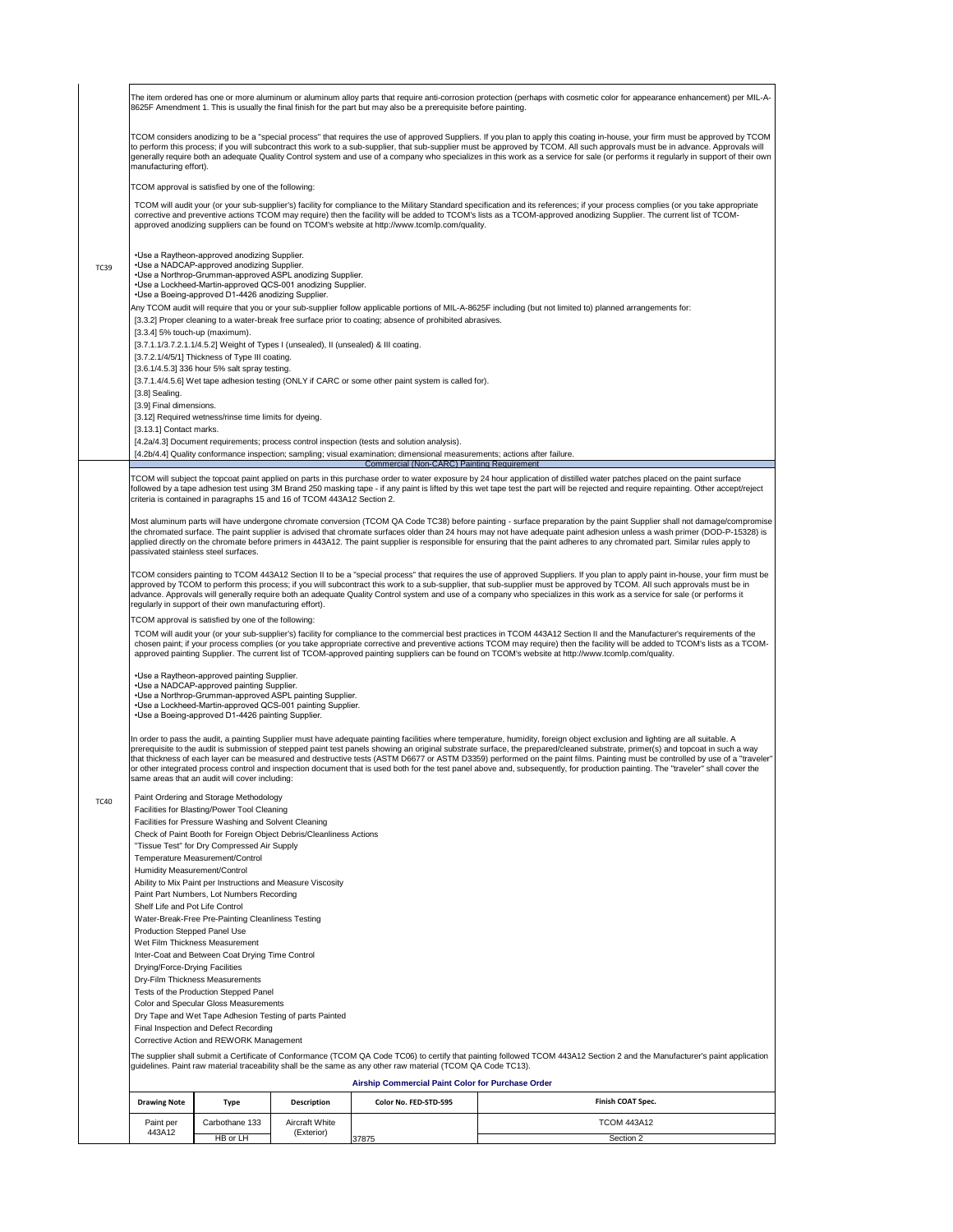TC40 Paint Ordering and Storage Methodology

In order to pass the audit, a painting Supplier must have adequate painting facilities where temperature, humidity, foreign object exclusion and lighting are all suitable. A prerequisite to the audit is submission of stepped paint test panels showing an original substrate surface, the prepared/cleaned substrate, primer(s) and topcoat in such a way that thickness of each layer can be measured and destructive tests (ASTM D6677 or ASTM D3359) performed on the paint films. Painting must be controlled by use of a "traveler" or other integrated process control and inspection document that is used both for the test panel above and, subsequently, for production painting. The "traveler" shall cover the same areas that an audit will cover including:

Facilities for Blasting/Power Tool Cleaning

Facilities for Pressure Washing and Solvent Cleaning

Check of Paint Booth for Foreign Object Debris/Cleanliness Actions

"Tissue Test" for Dry Compressed Air Supply

Temperature Measurement/Control

Humidity Measurement/Control

|             | The item ordered has one or more aluminum or aluminum alloy parts that require anti-corrosion protection (perhaps with cosmetic color for appearance enhancement) per MIL-A-<br>8625F Amendment 1. This is usually the final finish for the part but may also be a prerequisite before painting.                                                                                                                                                                                                                                                                                   |  |  |  |  |  |
|-------------|------------------------------------------------------------------------------------------------------------------------------------------------------------------------------------------------------------------------------------------------------------------------------------------------------------------------------------------------------------------------------------------------------------------------------------------------------------------------------------------------------------------------------------------------------------------------------------|--|--|--|--|--|
|             | TCOM considers anodizing to be a "special process" that requires the use of approved Suppliers. If you plan to apply this coating in-house, your firm must be approved by TCOM<br>to perform this process; if you will subcontract this work to a sub-supplier, that sub-supplier must be approved by TCOM. All such approvals must be in advance. Approvals will<br>generally require both an adequate Quality Control system and use of a company who specializes in this work as a service for sale (or performs it regularly in support of their own<br>manufacturing effort). |  |  |  |  |  |
|             | TCOM approval is satisfied by one of the following:                                                                                                                                                                                                                                                                                                                                                                                                                                                                                                                                |  |  |  |  |  |
|             | TCOM will audit your (or your sub-supplier's) facility for compliance to the Military Standard specification and its references; if your process complies (or you take appropriate<br>corrective and preventive actions TCOM may require) then the facility will be added to TCOM's lists as a TCOM-approved anodizing Supplier. The current list of TCOM-<br>approved anodizing suppliers can be found on TCOM's website at http://www.tcomlp.com/quality.                                                                                                                        |  |  |  |  |  |
| <b>TC39</b> | • Use a Raytheon-approved anodizing Supplier.<br>•Use a NADCAP-approved anodizing Supplier.<br>• Use a Northrop-Grumman-approved ASPL anodizing Supplier.<br>• Use a Lockheed-Martin-approved QCS-001 anodizing Supplier.<br>• Use a Boeing-approved D1-4426 anodizing Supplier.                                                                                                                                                                                                                                                                                                   |  |  |  |  |  |
|             | Any TCOM audit will require that you or your sub-supplier follow applicable portions of MIL-A-8625F including (but not limited to) planned arrangements for:                                                                                                                                                                                                                                                                                                                                                                                                                       |  |  |  |  |  |
|             | [3.3.2] Proper cleaning to a water-break free surface prior to coating; absence of prohibited abrasives.                                                                                                                                                                                                                                                                                                                                                                                                                                                                           |  |  |  |  |  |
|             | $[3.3.4]$ 5% touch-up (maximum).                                                                                                                                                                                                                                                                                                                                                                                                                                                                                                                                                   |  |  |  |  |  |
|             | $[3.7.1.1/3.7.2.1.1/4.5.2]$ Weight of Types I (unsealed), II (unsealed) & III coating.<br>[3.7.2.1/4/5/1] Thickness of Type III coating.                                                                                                                                                                                                                                                                                                                                                                                                                                           |  |  |  |  |  |
|             | [3.6.1/4.5.3] 336 hour 5% salt spray testing.                                                                                                                                                                                                                                                                                                                                                                                                                                                                                                                                      |  |  |  |  |  |
|             | [3.7.1.4/4.5.6] Wet tape adhesion testing (ONLY if CARC or some other paint system is called for).                                                                                                                                                                                                                                                                                                                                                                                                                                                                                 |  |  |  |  |  |
|             | $[3.8]$ Sealing.                                                                                                                                                                                                                                                                                                                                                                                                                                                                                                                                                                   |  |  |  |  |  |
|             | [3.9] Final dimensions.                                                                                                                                                                                                                                                                                                                                                                                                                                                                                                                                                            |  |  |  |  |  |
|             | [3.12] Required wetness/rinse time limits for dyeing.                                                                                                                                                                                                                                                                                                                                                                                                                                                                                                                              |  |  |  |  |  |
|             | [3.13.1] Contact marks.                                                                                                                                                                                                                                                                                                                                                                                                                                                                                                                                                            |  |  |  |  |  |
|             | [4.2a/4.3] Document requirements; process control inspection (tests and solution analysis).                                                                                                                                                                                                                                                                                                                                                                                                                                                                                        |  |  |  |  |  |
|             | [4.2b/4.4] Quality conformance inspection; sampling; visual examination; dimensional measurements; actions after failure.                                                                                                                                                                                                                                                                                                                                                                                                                                                          |  |  |  |  |  |

|Most aluminum parts will have undergone chromate conversion (TCOM QA Code TC38) before painting - surface preparation by the paint Supplier shall not damage/compromise the chromated surface. The paint supplier is advised that chromate surfaces older than 24 hours may not have adequate paint adhesion unless a wash primer (DOD-P-15328) is applied directly on the chromate before primers in 443A12. The paint supplier is responsible for ensuring that the paint adheres to any chromated part. Similar rules apply to passivated stainless steel surfaces.

|                                       | <b>TOWN THOUT TO FURNISH OR MINIMUS TOURING</b>         |                       |                                                                                                              |                                                                                                                                                                             |
|---------------------------------------|---------------------------------------------------------|-----------------------|--------------------------------------------------------------------------------------------------------------|-----------------------------------------------------------------------------------------------------------------------------------------------------------------------------|
| <b>Production Stepped Panel Use</b>   |                                                         |                       |                                                                                                              |                                                                                                                                                                             |
| Wet Film Thickness Measurement        |                                                         |                       |                                                                                                              |                                                                                                                                                                             |
|                                       | Inter-Coat and Between Coat Drying Time Control         |                       |                                                                                                              |                                                                                                                                                                             |
| <b>Drying/Force-Drying Facilities</b> |                                                         |                       |                                                                                                              |                                                                                                                                                                             |
|                                       | <b>Dry-Film Thickness Measurements</b>                  |                       |                                                                                                              |                                                                                                                                                                             |
|                                       | Tests of the Production Stepped Panel                   |                       |                                                                                                              |                                                                                                                                                                             |
|                                       | <b>Color and Specular Gloss Measurements</b>            |                       |                                                                                                              |                                                                                                                                                                             |
|                                       | Dry Tape and Wet Tape Adhesion Testing of parts Painted |                       |                                                                                                              |                                                                                                                                                                             |
|                                       | Final Inspection and Defect Recording                   |                       |                                                                                                              |                                                                                                                                                                             |
|                                       | Corrective Action and REWORK Management                 |                       |                                                                                                              |                                                                                                                                                                             |
|                                       |                                                         |                       | guidelines. Paint raw material traceability shall be the same as any other raw material (TCOM QA Code TC13). | The supplier shall submit a Certificate of Conformance (TCOM QA Code TC06) to certify that painting followed TCOM 443A12 Section 2 and the Manufacturer's paint application |
|                                       |                                                         |                       | <b>Airship Commercial Paint Color for Purchase Order</b>                                                     |                                                                                                                                                                             |
| <b>Drawing Note</b>                   | <b>Type</b>                                             | <b>Description</b>    | <b>Color No. FED-STD-595</b>                                                                                 | <b>Finish COAT Spec.</b>                                                                                                                                                    |
| Paint per                             | Carbothane 133                                          | <b>Aircraft White</b> |                                                                                                              | <b>TCOM 443A12</b>                                                                                                                                                          |
| 443A12                                | HB or LH                                                | (Exterior)            | 37875                                                                                                        | Section 2                                                                                                                                                                   |

#### Commercial (Non-CARC) Painting Requirement

TCOM will subject the topcoat paint applied on parts in this purchase order to water exposure by 24 hour application of distilled water patches placed on the paint surface followed by a tape adhesion test using 3M Brand 250 masking tape - if any paint is lifted by this wet tape test the part will be rejected and require repainting. Other accept/reject criteria is contained in paragraphs 15 and 16 of TCOM 443A12 Section 2.

TCOM considers painting to TCOM 443A12 Section II to be a "special process" that requires the use of approved Suppliers. If you plan to apply paint in-house, your firm must be approved by TCOM to perform this process; if you will subcontract this work to a sub-supplier, that sub-supplier must be approved by TCOM. All such approvals must be in advance. Approvals will generally require both an adequate Quality Control system and use of a company who specializes in this work as a service for sale (or performs it regularly in support of their own manufacturing effort).

TCOM approval is satisfied by one of the following:

TCOM will audit your (or your sub-supplier's) facility for compliance to the commercial best practices in TCOM 443A12 Section II and the Manufacturer's requirements of the chosen paint; if your process complies (or you take appropriate corrective and preventive actions TCOM may require) then the facility will be added to TCOM's lists as a TCOMapproved painting Supplier. The current list of TCOM-approved painting suppliers can be found on TCOM's website at http://www.tcomlp.com/quality.

• Use a Raytheon-approved painting Supplier. • Use a NADCAPapproved painting Supplier. • Use a Northrop-Grumman-approved ASPL painting Supplier. • Use a Lockheed-Martin-approved QCS-001 painting Supplier. • Use a Boeing-approved D1-4426 painting Supplier.

Ability to Mix Paint per Instructions and Measure Viscosity

Paint Part Numbers, Lot Numbers Recording

Shelf Life and Pot Life Control

Water-Break-Free Pre-Painting Cleanliness Testing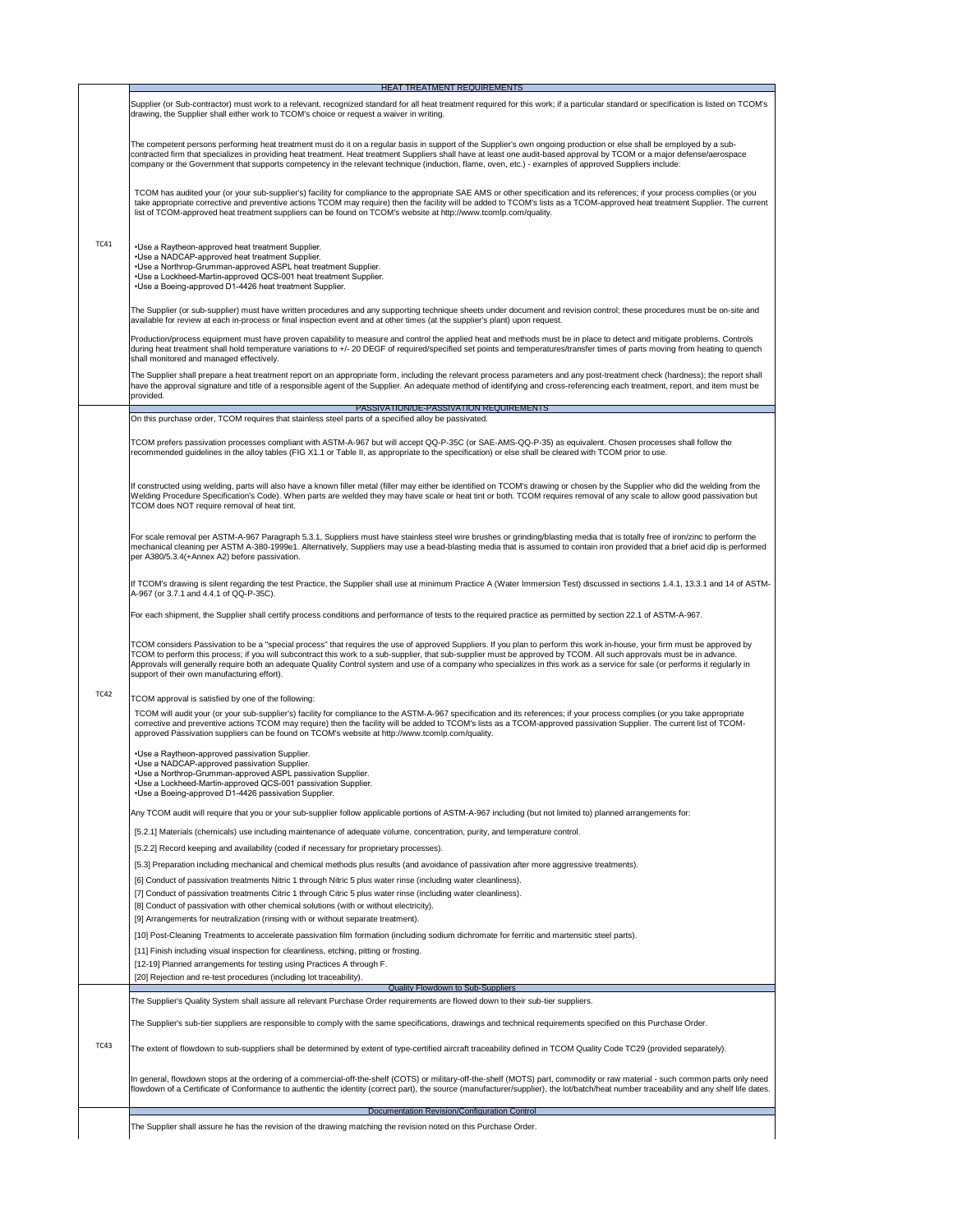recommended guidelines in the alloy tables (FIG X1.1 or Table II, as appropriate to the specification) or else shall be cleared with TCOM prior to use.

|             | <b>HEAT TREATMENT REQUIREMENTS</b>                                                                                                                                                                                                                                                                                                                                                                                                                                                                         |
|-------------|------------------------------------------------------------------------------------------------------------------------------------------------------------------------------------------------------------------------------------------------------------------------------------------------------------------------------------------------------------------------------------------------------------------------------------------------------------------------------------------------------------|
|             | Supplier (or Sub-contractor) must work to a relevant, recognized standard for all heat treatment required for this work; if a particular standard or specification is listed on TCOM's<br>drawing, the Supplier shall either work to TCOM's choice or request a waiver in writing.                                                                                                                                                                                                                         |
|             | The competent persons performing heat treatment must do it on a regular basis in support of the Supplier's own ongoing production or else shall be employed by a sub-<br>contracted firm that specializes in providing heat treatment. Heat treatment Suppliers shall have at least one audit-based approval by TCOM or a major defense/aerospace<br>company or the Government that supports competency in the relevant technique (induction, flame, oven, etc.) - examples of approved Suppliers include: |
|             | TCOM has audited your (or your sub-supplier's) facility for compliance to the appropriate SAE AMS or other specification and its references; if your process complies (or you<br>take appropriate corrective and preventive actions TCOM may require) then the facility will be added to TCOM's lists as a TCOM-approved heat treatment Supplier. The current<br>list of TCOM-approved heat treatment suppliers can be found on TCOM's website at http://www.tcomlp.com/quality.                           |
| <b>TC41</b> | • Use a Raytheon-approved heat treatment Supplier.<br>• Use a NADCAP-approved heat treatment Supplier.<br>• Use a Northrop-Grumman-approved ASPL heat treatment Supplier.<br>• Use a Lockheed-Martin-approved QCS-001 heat treatment Supplier.<br>• Use a Boeing-approved D1-4426 heat treatment Supplier.                                                                                                                                                                                                 |
|             | The Supplier (or sub-supplier) must have written procedures and any supporting technique sheets under document and revision control; these procedures must be on-site and<br>available for review at each in-process or final inspection event and at other times (at the supplier's plant) upon request.                                                                                                                                                                                                  |
|             | Production/process equipment must have proven capability to measure and control the applied heat and methods must be in place to detect and mitigate problems. Controls<br>during heat treatment shall hold temperature variations to +/- 20 DEGF of required/specified set points and temperatures/transfer times of parts moving from heating to quench<br>shall monitored and managed effectively.                                                                                                      |
|             | The Supplier shall prepare a heat treatment report on an appropriate form, including the relevant process parameters and any post-treatment check (hardness); the report shall<br>have the approval signature and title of a responsible agent of the Supplier. An adequate method of identifying and cross-referencing each treatment, report, and item must be<br>provided.                                                                                                                              |
|             | PASSIVATION/DE-PASSIVATION REQUIREMENTS                                                                                                                                                                                                                                                                                                                                                                                                                                                                    |
|             | On this purchase order, TCOM requires that stainless steel parts of a specified alloy be passivated.                                                                                                                                                                                                                                                                                                                                                                                                       |
|             |                                                                                                                                                                                                                                                                                                                                                                                                                                                                                                            |
|             | TCOM prefers passivation processes compliant with ASTM-A-967 but will accept QQ-P-35C (or SAE-AMS-QQ-P-35) as equivalent. Chosen processes shall follow the                                                                                                                                                                                                                                                                                                                                                |

TC42 If constructed using welding, parts will also have a known filler metal (filler may either be identified on TCOM's drawing or chosen by the Supplier who did the welding from the Welding Procedure Specification's Code). When parts are welded they may have scale or heat tint or both. TCOM requires removal of any scale to allow good passivation but TCOM does NOT require removal of heat tint. For scale removal per ASTM-A-967 Paragraph 5.3.1, Suppliers must have stainless steel wire brushes or grinding/blasting media that is totally free of iron/zinc to perform the mechanical cleaning per ASTM A-380-1999e1. Alternatively, Suppliers may use a bead-blasting media that is assumed to contain iron provided that a brief acid dip is performed per A380/5.3.4(+Annex A2) before passivation. If TCOM's drawing is silent regarding the test Practice, the Supplier shall use at minimum Practice A (Water Immersion Test) discussed in sections 1.4.1, 13.3.1 and 14 of ASTM-A-967 (or 3.7.1 and 4.4.1 of QQ-P-35C). For each shipment, the Supplier shall certify process conditions and performance of tests to the required practice as permitted by section 22.1 of ASTM-A-967. TCOM considers Passivation to be a "special process" that requires the use of approved Suppliers. If you plan to perform this work in-house, your firm must be approved by TCOM to perform this process; if you will subcontract this work to a sub-supplier, that sub-supplier must be approved by TCOM. All such approvals must be in advance. Approvals will generally require both an adequate Quality Control system and use of a company who specializes in this work as a service for sale (or performs it regularly in support of their own manufacturing effort). TCOM will audit your (or your sub-supplier's) facility for compliance to the ASTM-A-967 specification and its references; if your process complies (or you take appropriate corrective and preventive actions TCOM may require) then the facility will be added to TCOM's lists as a TCOM-approved passivation Supplier. The current list of TCOMapproved Passivation suppliers can be found on TCOM's website at http://www.tcomlp.com/quality. TCOM approval is satisfied by one of the following: • Use a Raytheon-approved passivation Supplier. • Use a NADCAP-approved passivation Supplier. • Use a Northrop-Grumman-approved ASPL passivation Supplier. • Use a Lockheed-Martin-approved QCS-001 passivation Supplier. • Use a Boeing-approved D1-4426 passivation Supplier. Any TCOM audit will require that you or your sub-supplier follow applicable portions of ASTM-A-967 including (but not limited to) planned arrangements for: [5.2.1] Materials (chemicals) use including maintenance of adequate volume, concentration, purity, and temperature control. [5.2.2] Record keeping and availability (coded if necessary for proprietary processes). [5.3] Preparation including mechanical and chemical methods plus results (and avoidance of passivation after more aggressive treatments). [6] Conduct of passivation treatments Nitric 1 through Nitric 5 plus water rinse (including water cleanliness). [7] Conduct of passivation treatments Citric 1 through Citric 5 plus water rinse (including water cleanliness). [8] Conduct of passivation with other chemical solutions (with or without electricity). [9] Arrangements for neutralization (rinsing with or without separate treatment).

|             | [10] Post-Cleaning Treatments to accelerate passivation film formation (including sodium dichromate for ferritic and martensitic steel parts).                                                                                                                                                                                                                            |
|-------------|---------------------------------------------------------------------------------------------------------------------------------------------------------------------------------------------------------------------------------------------------------------------------------------------------------------------------------------------------------------------------|
|             | [11] Finish including visual inspection for cleanliness, etching, pitting or frosting.                                                                                                                                                                                                                                                                                    |
|             | [12-19] Planned arrangements for testing using Practices A through F.                                                                                                                                                                                                                                                                                                     |
|             | [20] Rejection and re-test procedures (including lot traceability).                                                                                                                                                                                                                                                                                                       |
|             | <b>Quality Flowdown to Sub-Suppliers</b>                                                                                                                                                                                                                                                                                                                                  |
|             | The Supplier's Quality System shall assure all relevant Purchase Order requirements are flowed down to their sub-tier suppliers.                                                                                                                                                                                                                                          |
|             | The Supplier's sub-tier suppliers are responsible to comply with the same specifications, drawings and technical requirements specified on this Purchase Order.                                                                                                                                                                                                           |
| <b>TC43</b> | The extent of flowdown to sub-suppliers shall be determined by extent of type-certified aircraft traceability defined in TCOM Quality Code TC29 (provided separately).                                                                                                                                                                                                    |
|             | In general, flowdown stops at the ordering of a commercial-off-the-shelf (COTS) or military-off-the-shelf (MOTS) part, commodity or raw material - such common parts only need<br>flowdown of a Certificate of Conformance to authentic the identity (correct part), the source (manufacturer/supplier), the lot/batch/heat number traceability and any shelf life dates. |
|             | Documentation Revision/Configuration Control                                                                                                                                                                                                                                                                                                                              |
|             | The Supplier shall assure he has the revision of the drawing matching the revision noted on this Purchase Order.                                                                                                                                                                                                                                                          |